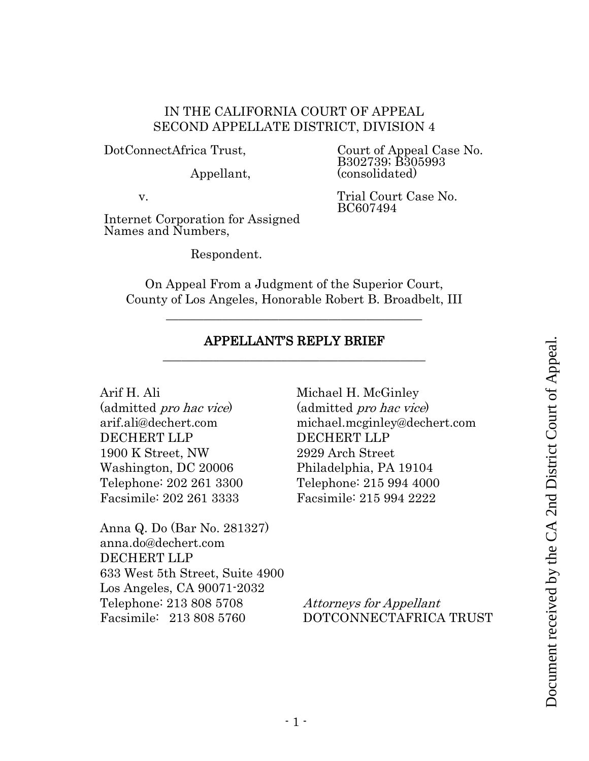### IN THE CALIFORNIA COURT OF APPEAL SECOND APPELLATE DISTRICT, DIVISION 4

DotConnectAfrica Trust,

Appellant,

Court of Appeal Case No. B302739; B305993 (consolidated)

Trial Court Case No.

BC607494

v.

Internet Corporation for Assigned Names and Numbers,

Respondent.

On Appeal From a Judgment of the Superior Court, County of Los Angeles, Honorable Robert B. Broadbelt, III

\_\_\_\_\_\_\_\_\_\_\_\_\_\_\_\_\_\_\_\_\_\_\_\_\_\_\_\_\_\_\_\_\_\_\_\_\_\_\_\_\_

#### APPELLANT'S REPLY BRIEF \_\_\_\_\_\_\_\_\_\_\_\_\_\_\_\_\_\_\_\_\_\_\_\_\_\_\_\_\_\_\_\_\_\_\_\_\_\_\_\_\_\_

Arif H. Ali

(admitted pro hac vice) arif.ali@dechert.com DECHERT LLP 1900 K Street, NW Washington, DC 20006 Telephone: 202 261 3300 Facsimile: 202 261 3333

Anna Q. Do (Bar No. 281327) anna.do@dechert.com DECHERT LLP 633 West 5th Street, Suite 4900 Los Angeles, CA 90071-2032 Telephone: 213 808 5708 Facsimile: 213 808 5760

Michael H. McGinley (admitted pro hac vice) michael.mcginley@dechert.com DECHERT LLP 2929 Arch Street Philadelphia, PA 19104 Telephone: 215 994 4000 Facsimile: 215 994 2222 **EXECUTE REFLY BRIEF**<br>
APPELLANT'S REFLY BRIEF<br>
admitted *pro hac vice*<br>
inf.aligadechert.com<br>
minical gro hac vice<br>
DECHERT LLP<br>
900 K Street, NW<br>
2929 Arch Street<br>
2000 K Street, NW<br>
2929 Arch Street<br>
Celephone: 202 261

Attorneys for Appellant DOTCONNECTAFRICA TRUST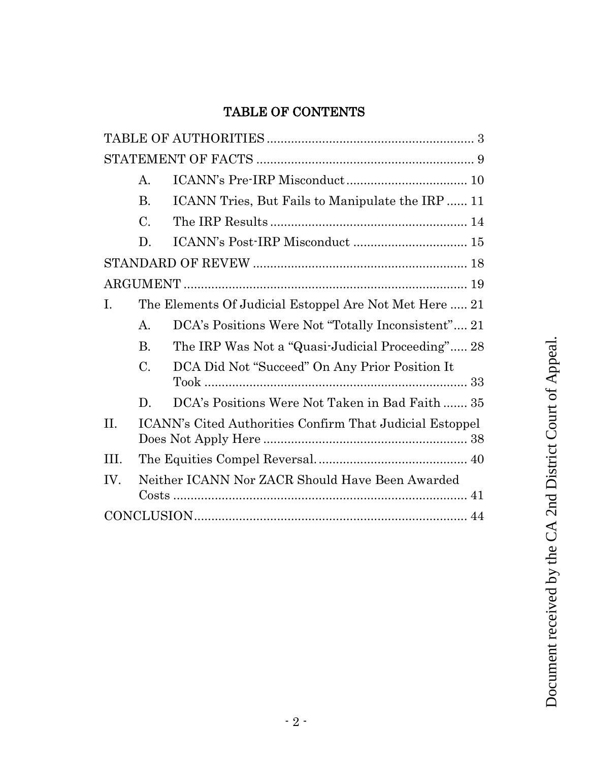# TABLE OF CONTENTS

|      | $\begin{minipage}{.4\linewidth} \textbf{STATEMENT OF FACTS} \end{minipage} \begin{minipage}{.4\linewidth} \textbf{0} \end{minipage} \begin{minipage}{.4\linewidth} \textbf{0} \end{minipage} \begin{minipage}{.4\linewidth} \textbf{0} \end{minipage} \begin{minipage}{.4\linewidth} \textbf{0} \end{minipage} \begin{minipage}{.4\linewidth} \textbf{0} \end{minipage} \begin{minipage}{.4\linewidth} \textbf{0} \end{minipage} \begin{minipage}{.4\linewidth} \textbf{0} \end{minipage} \begin{minipage}{.4\linewidth} \textbf{$ |                                                          |  |  |  |
|------|------------------------------------------------------------------------------------------------------------------------------------------------------------------------------------------------------------------------------------------------------------------------------------------------------------------------------------------------------------------------------------------------------------------------------------------------------------------------------------------------------------------------------------|----------------------------------------------------------|--|--|--|
|      | А.                                                                                                                                                                                                                                                                                                                                                                                                                                                                                                                                 |                                                          |  |  |  |
|      | <b>B.</b>                                                                                                                                                                                                                                                                                                                                                                                                                                                                                                                          | ICANN Tries, But Fails to Manipulate the IRP  11         |  |  |  |
|      | $\mathcal{C}$ .                                                                                                                                                                                                                                                                                                                                                                                                                                                                                                                    |                                                          |  |  |  |
|      | D.                                                                                                                                                                                                                                                                                                                                                                                                                                                                                                                                 |                                                          |  |  |  |
|      |                                                                                                                                                                                                                                                                                                                                                                                                                                                                                                                                    |                                                          |  |  |  |
|      |                                                                                                                                                                                                                                                                                                                                                                                                                                                                                                                                    |                                                          |  |  |  |
| Ι.   |                                                                                                                                                                                                                                                                                                                                                                                                                                                                                                                                    | The Elements Of Judicial Estoppel Are Not Met Here  21   |  |  |  |
|      | Α.                                                                                                                                                                                                                                                                                                                                                                                                                                                                                                                                 | DCA's Positions Were Not "Totally Inconsistent" 21       |  |  |  |
|      | $\mathbf{B}$ .                                                                                                                                                                                                                                                                                                                                                                                                                                                                                                                     | The IRP Was Not a "Quasi-Judicial Proceeding" 28         |  |  |  |
|      | C.                                                                                                                                                                                                                                                                                                                                                                                                                                                                                                                                 | DCA Did Not "Succeed" On Any Prior Position It           |  |  |  |
|      | D.                                                                                                                                                                                                                                                                                                                                                                                                                                                                                                                                 | DCA's Positions Were Not Taken in Bad Faith 35           |  |  |  |
| II.  |                                                                                                                                                                                                                                                                                                                                                                                                                                                                                                                                    | ICANN's Cited Authorities Confirm That Judicial Estoppel |  |  |  |
| III. |                                                                                                                                                                                                                                                                                                                                                                                                                                                                                                                                    |                                                          |  |  |  |
| IV.  |                                                                                                                                                                                                                                                                                                                                                                                                                                                                                                                                    | Neither ICANN Nor ZACR Should Have Been Awarded          |  |  |  |
|      |                                                                                                                                                                                                                                                                                                                                                                                                                                                                                                                                    |                                                          |  |  |  |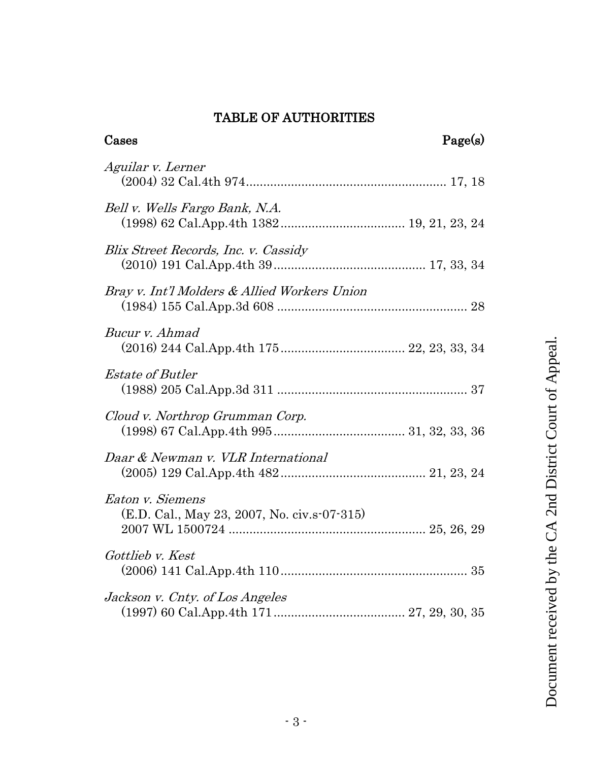# TABLE OF AUTHORITIES

<span id="page-2-0"></span>

| Page(s)<br>Cases                                                |  |
|-----------------------------------------------------------------|--|
| Aguilar v. Lerner                                               |  |
| Bell v. Wells Fargo Bank, N.A.                                  |  |
| Blix Street Records, Inc. v. Cassidy                            |  |
| Bray v. Int'l Molders & Allied Workers Union                    |  |
| Bucur v. Ahmad                                                  |  |
| <i>Estate of Butler</i>                                         |  |
| Cloud v. Northrop Grumman Corp.                                 |  |
| Daar & Newman v. VLR International                              |  |
| Eaton v. Siemens<br>(E.D. Cal., May 23, 2007, No. civ.s-07-315) |  |
| Gottlieb v. Kest                                                |  |
| Jackson v. Cnty. of Los Angeles                                 |  |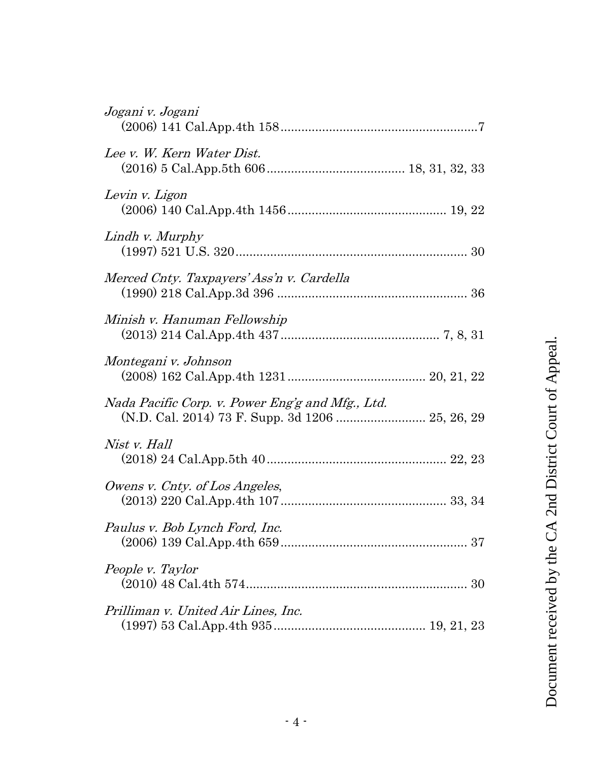| Jogani v. Jogani                                                                                     |
|------------------------------------------------------------------------------------------------------|
| Lee v. W. Kern Water Dist.                                                                           |
| Levin v. Ligon                                                                                       |
| Lindh v. Murphy                                                                                      |
| Merced Cnty. Taxpayers' Ass'n v. Cardella                                                            |
| Minish v. Hanuman Fellowship                                                                         |
| Montegani v. Johnson                                                                                 |
| Nada Pacific Corp. v. Power Eng'g and Mfg., Ltd.<br>(N.D. Cal. 2014) 73 F. Supp. 3d 1206  25, 26, 29 |
| Nist v. Hall                                                                                         |
| Owens v. Cnty. of Los Angeles,                                                                       |
| Paulus v. Bob Lynch Ford, Inc.                                                                       |
| People v. Taylor                                                                                     |
| Prilliman v. United Air Lines, Inc.                                                                  |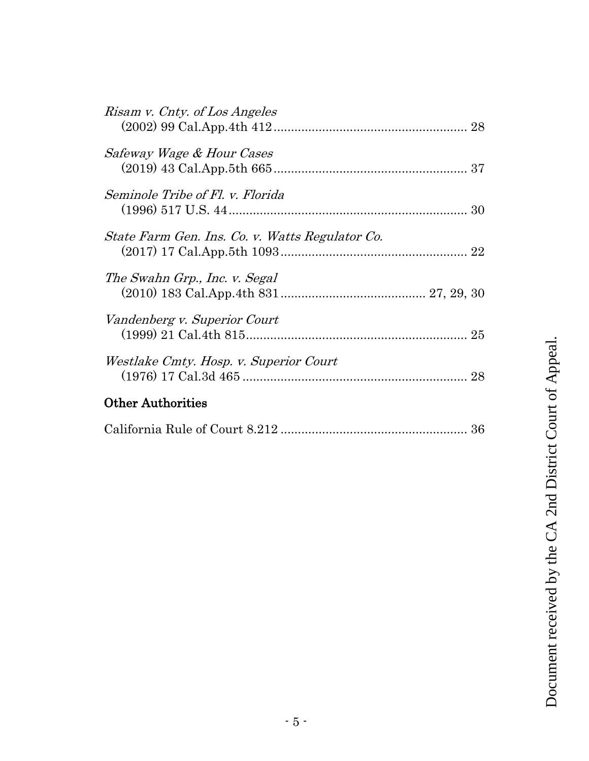| <i>Safeway Wage &amp; Hour Cases</i><br>Seminole Tribe of Fl. v. Florida<br>State Farm Gen. Ins. Co. v. Watts Regulator Co.<br>The Swahn Grp., Inc. v. Segal<br>Vandenberg v. Superior Court<br>Westlake Cmty. Hosp. v. Superior Court<br><b>Other Authorities</b> | Risam v. Cnty. of Los Angeles |    |
|--------------------------------------------------------------------------------------------------------------------------------------------------------------------------------------------------------------------------------------------------------------------|-------------------------------|----|
|                                                                                                                                                                                                                                                                    |                               |    |
|                                                                                                                                                                                                                                                                    |                               |    |
|                                                                                                                                                                                                                                                                    |                               |    |
|                                                                                                                                                                                                                                                                    |                               |    |
|                                                                                                                                                                                                                                                                    |                               |    |
|                                                                                                                                                                                                                                                                    |                               | 28 |
|                                                                                                                                                                                                                                                                    |                               |    |

|--|--|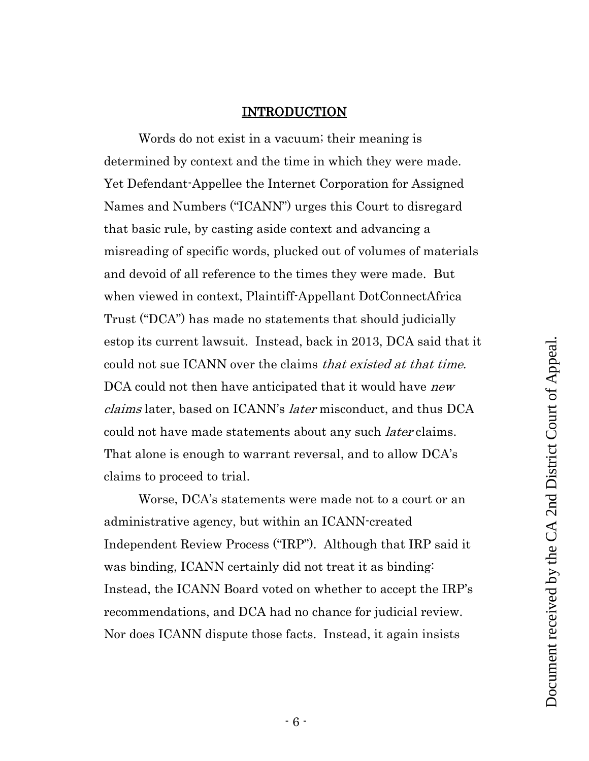#### INTRODUCTION

Words do not exist in a vacuum; their meaning is determined by context and the time in which they were made. Yet Defendant-Appellee the Internet Corporation for Assigned Names and Numbers ("ICANN") urges this Court to disregard that basic rule, by casting aside context and advancing a misreading of specific words, plucked out of volumes of materials and devoid of all reference to the times they were made. But when viewed in context, Plaintiff-Appellant DotConnectAfrica Trust ("DCA") has made no statements that should judicially estop its current lawsuit. Instead, back in 2013, DCA said that it could not sue ICANN over the claims that existed at that time. DCA could not then have anticipated that it would have *new* claims later, based on ICANN's later misconduct, and thus DCA could not have made statements about any such *later* claims. That alone is enough to warrant reversal, and to allow DCA's claims to proceed to trial.

Worse, DCA's statements were made not to a court or an administrative agency, but within an ICANN-created Independent Review Process ("IRP"). Although that IRP said it was binding, ICANN certainly did not treat it as binding: Instead, the ICANN Board voted on whether to accept the IRP's recommendations, and DCA had no chance for judicial review. Nor does ICANN dispute those facts. Instead, it again insists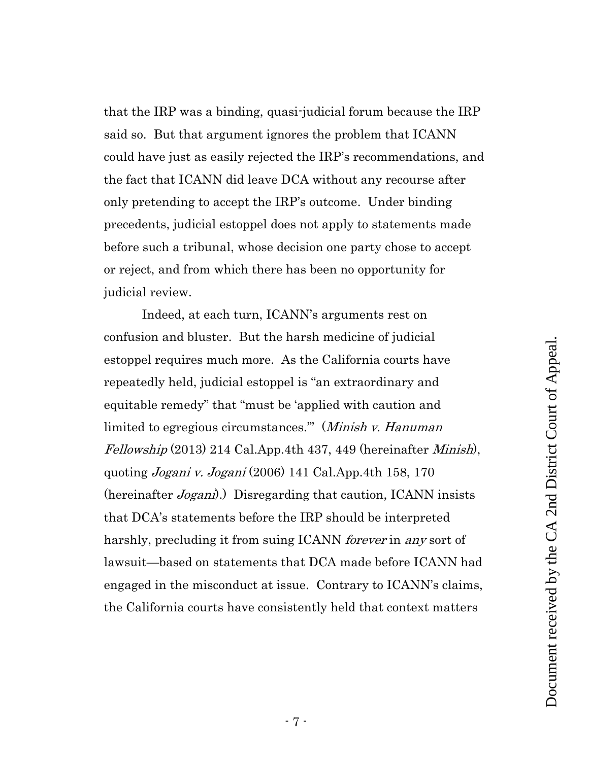that the IRP was a binding, quasi-judicial forum because the IRP said so. But that argument ignores the problem that ICANN could have just as easily rejected the IRP's recommendations, and the fact that ICANN did leave DCA without any recourse after only pretending to accept the IRP's outcome. Under binding precedents, judicial estoppel does not apply to statements made before such a tribunal, whose decision one party chose to accept or reject, and from which there has been no opportunity for judicial review.

<span id="page-6-1"></span><span id="page-6-0"></span>Indeed, at each turn, ICANN's arguments rest on confusion and bluster. But the harsh medicine of judicial estoppel requires much more. As the California courts have repeatedly held, judicial estoppel is "an extraordinary and equitable remedy" that "must be 'applied with caution and limited to egregious circumstances." (Minish v. Hanuman Fellowship (2013) 214 Cal.App.4th 437, 449 (hereinafter Minish), quoting *Jogani v. Jogani* (2006) 141 Cal.App.4th 158, 170 (hereinafter *Jogani*).) Disregarding that caution, ICANN insists that DCA's statements before the IRP should be interpreted harshly, precluding it from suing ICANN *forever* in any sort of lawsuit—based on statements that DCA made before ICANN had engaged in the misconduct at issue. Contrary to ICANN's claims, the California courts have consistently held that context matters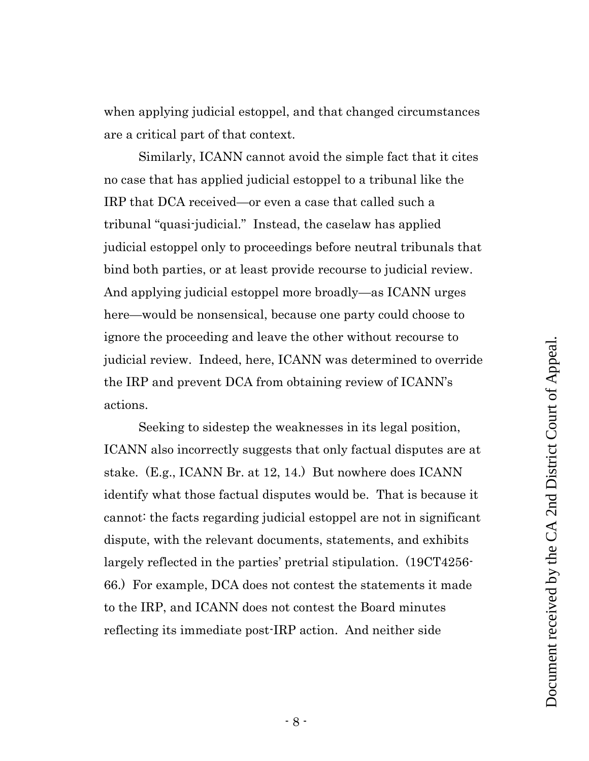when applying judicial estoppel, and that changed circumstances are a critical part of that context.

Similarly, ICANN cannot avoid the simple fact that it cites no case that has applied judicial estoppel to a tribunal like the IRP that DCA received—or even a case that called such a tribunal "quasi-judicial." Instead, the caselaw has applied judicial estoppel only to proceedings before neutral tribunals that bind both parties, or at least provide recourse to judicial review. And applying judicial estoppel more broadly—as ICANN urges here—would be nonsensical, because one party could choose to ignore the proceeding and leave the other without recourse to judicial review. Indeed, here, ICANN was determined to override the IRP and prevent DCA from obtaining review of ICANN's actions.

Seeking to sidestep the weaknesses in its legal position, ICANN also incorrectly suggests that only factual disputes are at stake. (E.g., ICANN Br. at 12, 14.) But nowhere does ICANN identify what those factual disputes would be. That is because it cannot: the facts regarding judicial estoppel are not in significant dispute, with the relevant documents, statements, and exhibits largely reflected in the parties' pretrial stipulation. (19CT4256- 66.) For example, DCA does not contest the statements it made to the IRP, and ICANN does not contest the Board minutes reflecting its immediate post-IRP action. And neither side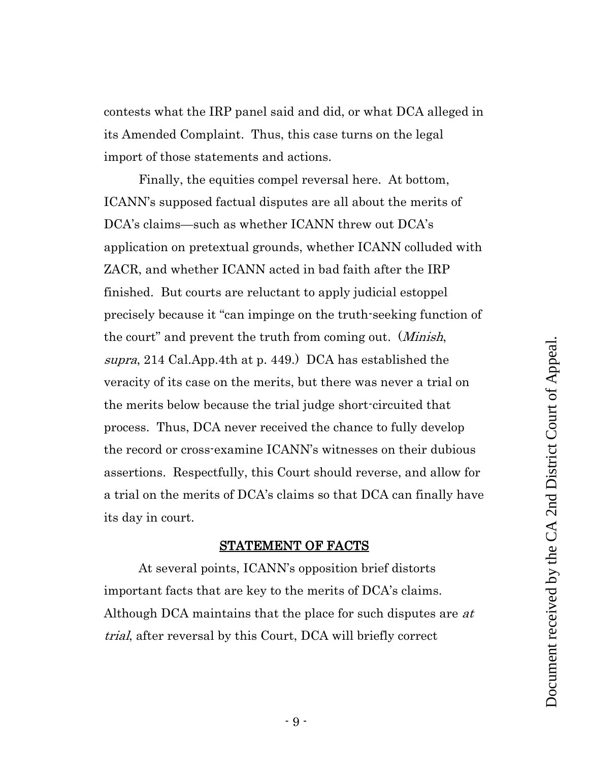contests what the IRP panel said and did, or what DCA alleged in its Amended Complaint. Thus, this case turns on the legal import of those statements and actions.

Finally, the equities compel reversal here. At bottom, ICANN's supposed factual disputes are all about the merits of DCA's claims—such as whether ICANN threw out DCA's application on pretextual grounds, whether ICANN colluded with ZACR, and whether ICANN acted in bad faith after the IRP finished. But courts are reluctant to apply judicial estoppel precisely because it "can impinge on the truth-seeking function of the court" and prevent the truth from coming out. (*Minish*, supra, 214 Cal.App.4th at p. 449.) DCA has established the veracity of its case on the merits, but there was never a trial on the merits below because the trial judge short-circuited that process. Thus, DCA never received the chance to fully develop the record or cross-examine ICANN's witnesses on their dubious assertions. Respectfully, this Court should reverse, and allow for a trial on the merits of DCA's claims so that DCA can finally have its day in court.

#### <span id="page-8-1"></span>STATEMENT OF FACTS

<span id="page-8-0"></span>At several points, ICANN's opposition brief distorts important facts that are key to the merits of DCA's claims. Although DCA maintains that the place for such disputes are at trial, after reversal by this Court, DCA will briefly correct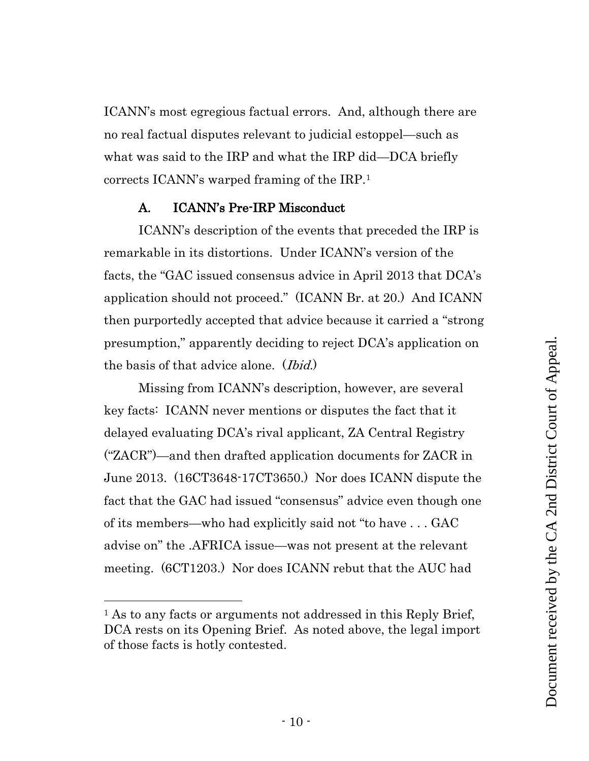ICANN's most egregious factual errors. And, although there are no real factual disputes relevant to judicial estoppel—such as what was said to the IRP and what the IRP did—DCA briefly corrects ICANN's warped framing of the IRP.<sup>1</sup>

### A. ICANN's Pre-IRP Misconduct

<span id="page-9-0"></span>ICANN's description of the events that preceded the IRP is remarkable in its distortions. Under ICANN's version of the facts, the "GAC issued consensus advice in April 2013 that DCA's application should not proceed." (ICANN Br. at 20.) And ICANN then purportedly accepted that advice because it carried a "strong presumption," apparently deciding to reject DCA's application on the basis of that advice alone. *(Ibid.)* 

Missing from ICANN's description, however, are several key facts: ICANN never mentions or disputes the fact that it delayed evaluating DCA's rival applicant, ZA Central Registry ("ZACR")—and then drafted application documents for ZACR in June 2013. (16CT3648-17CT3650.) Nor does ICANN dispute the fact that the GAC had issued "consensus" advice even though one of its members—who had explicitly said not "to have . . . GAC advise on" the .AFRICA issue—was not present at the relevant meeting. (6CT1203.) Nor does ICANN rebut that the AUC had

<sup>&</sup>lt;sup>1</sup> As to any facts or arguments not addressed in this Reply Brief, DCA rests on its Opening Brief. As noted above, the legal import of those facts is hotly contested.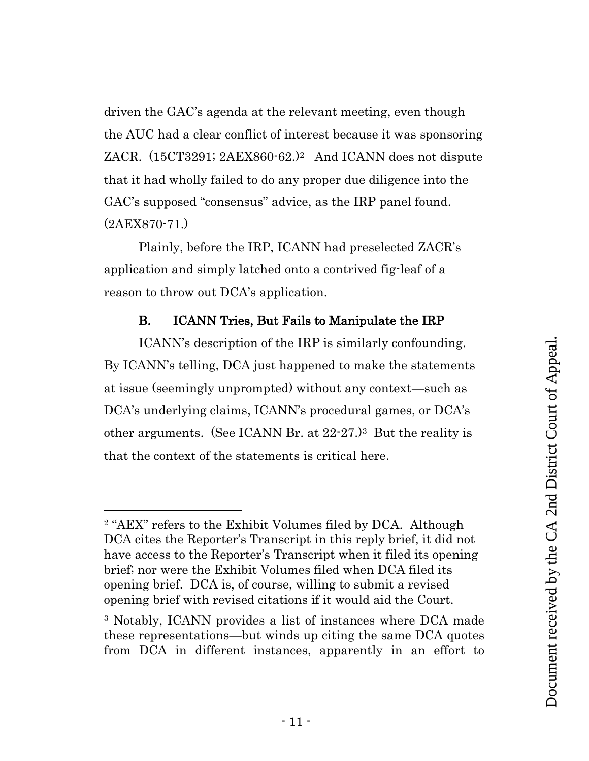driven the GAC's agenda at the relevant meeting, even though the AUC had a clear conflict of interest because it was sponsoring ZACR. (15CT3291; 2AEX860-62.)2 And ICANN does not dispute that it had wholly failed to do any proper due diligence into the GAC's supposed "consensus" advice, as the IRP panel found. (2AEX870-71.)

Plainly, before the IRP, ICANN had preselected ZACR's application and simply latched onto a contrived fig-leaf of a reason to throw out DCA's application.

### B. ICANN Tries, But Fails to Manipulate the IRP

<span id="page-10-0"></span>ICANN's description of the IRP is similarly confounding. By ICANN's telling, DCA just happened to make the statements at issue (seemingly unprompted) without any context—such as DCA's underlying claims, ICANN's procedural games, or DCA's other arguments. (See ICANN Br. at 22-27.)3 But the reality is that the context of the statements is critical here.

<sup>2</sup> "AEX" refers to the Exhibit Volumes filed by DCA. Although DCA cites the Reporter's Transcript in this reply brief, it did not have access to the Reporter's Transcript when it filed its opening brief; nor were the Exhibit Volumes filed when DCA filed its opening brief. DCA is, of course, willing to submit a revised opening brief with revised citations if it would aid the Court.

<sup>3</sup> Notably, ICANN provides a list of instances where DCA made these representations—but winds up citing the same DCA quotes from DCA in different instances, apparently in an effort to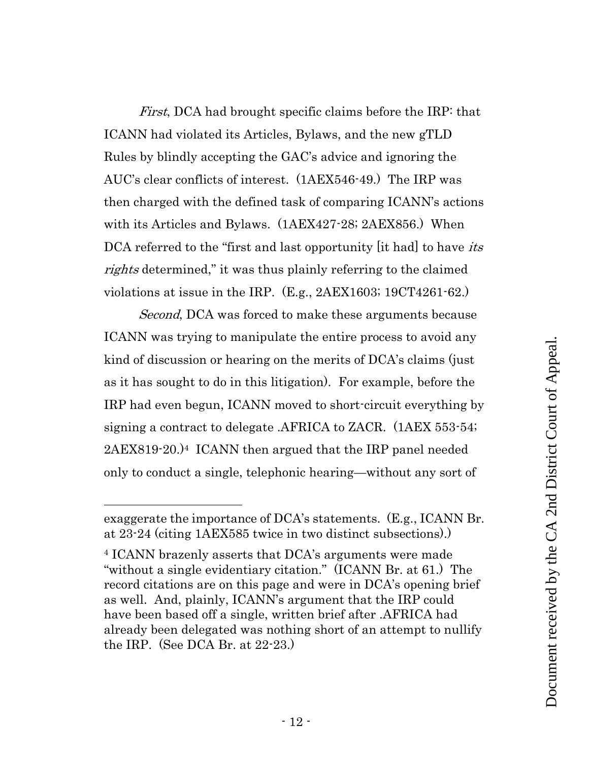First, DCA had brought specific claims before the IRP: that ICANN had violated its Articles, Bylaws, and the new gTLD Rules by blindly accepting the GAC's advice and ignoring the AUC's clear conflicts of interest. (1AEX546-49.) The IRP was then charged with the defined task of comparing ICANN's actions with its Articles and Bylaws. (1AEX427-28; 2AEX856.) When DCA referred to the "first and last opportunity [it had] to have *its* rights determined," it was thus plainly referring to the claimed violations at issue in the IRP. (E.g., 2AEX1603; 19CT4261-62.)

Second, DCA was forced to make these arguments because ICANN was trying to manipulate the entire process to avoid any kind of discussion or hearing on the merits of DCA's claims (just as it has sought to do in this litigation). For example, before the IRP had even begun, ICANN moved to short-circuit everything by signing a contract to delegate .AFRICA to ZACR. (1AEX 553-54; 2AEX819-20.)4 ICANN then argued that the IRP panel needed only to conduct a single, telephonic hearing—without any sort of

exaggerate the importance of DCA's statements. (E.g., ICANN Br. at 23-24 (citing 1AEX585 twice in two distinct subsections).)

<sup>4</sup> ICANN brazenly asserts that DCA's arguments were made "without a single evidentiary citation." (ICANN Br. at 61.) The record citations are on this page and were in DCA's opening brief as well. And, plainly, ICANN's argument that the IRP could have been based off a single, written brief after .AFRICA had already been delegated was nothing short of an attempt to nullify the IRP. (See DCA Br. at 22-23.)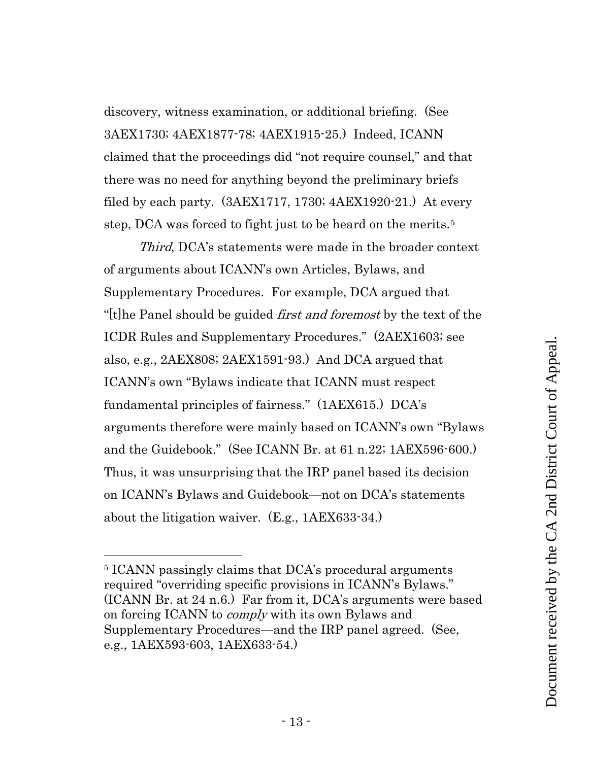discovery, witness examination, or additional briefing. (See 3AEX1730; 4AEX1877-78; 4AEX1915-25.) Indeed, ICANN claimed that the proceedings did "not require counsel," and that there was no need for anything beyond the preliminary briefs filed by each party. (3AEX1717, 1730; 4AEX1920-21.) At every step, DCA was forced to fight just to be heard on the merits.<sup>5</sup>

Third, DCA's statements were made in the broader context of arguments about ICANN's own Articles, Bylaws, and Supplementary Procedures. For example, DCA argued that "[t]he Panel should be guided *first and foremost* by the text of the ICDR Rules and Supplementary Procedures." (2AEX1603; see also, e.g., 2AEX808; 2AEX1591-93.) And DCA argued that ICANN's own "Bylaws indicate that ICANN must respect fundamental principles of fairness." (1AEX615.) DCA's arguments therefore were mainly based on ICANN's own "Bylaws and the Guidebook." (See ICANN Br. at 61 n.22; 1AEX596-600.) Thus, it was unsurprising that the IRP panel based its decision on ICANN's Bylaws and Guidebook—not on DCA's statements about the litigation waiver. (E.g., 1AEX633-34.)

<sup>5</sup> ICANN passingly claims that DCA's procedural arguments required "overriding specific provisions in ICANN's Bylaws." (ICANN Br. at 24 n.6.) Far from it, DCA's arguments were based on forcing ICANN to *comply* with its own Bylaws and Supplementary Procedures—and the IRP panel agreed. (See, e.g., 1AEX593-603, 1AEX633-54.)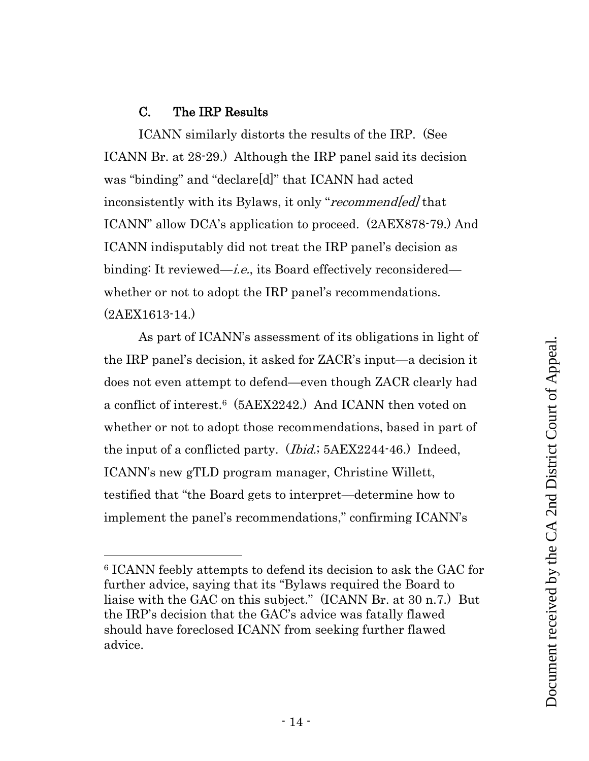# C. The IRP Results

<span id="page-13-0"></span>ICANN similarly distorts the results of the IRP. (See ICANN Br. at 28-29.) Although the IRP panel said its decision was "binding" and "declare[d]" that ICANN had acted inconsistently with its Bylaws, it only "recommend[ed] that ICANN" allow DCA's application to proceed. (2AEX878-79.) And ICANN indisputably did not treat the IRP panel's decision as binding: It reviewed—*i.e.*, its Board effectively reconsidered whether or not to adopt the IRP panel's recommendations. (2AEX1613-14.)

As part of ICANN's assessment of its obligations in light of the IRP panel's decision, it asked for ZACR's input—a decision it does not even attempt to defend—even though ZACR clearly had a conflict of interest.6 (5AEX2242.) And ICANN then voted on whether or not to adopt those recommendations, based in part of the input of a conflicted party. (*Ibid.*; 5AEX2244-46.) Indeed, ICANN's new gTLD program manager, Christine Willett, testified that "the Board gets to interpret—determine how to implement the panel's recommendations," confirming ICANN's

<sup>6</sup> ICANN feebly attempts to defend its decision to ask the GAC for further advice, saying that its "Bylaws required the Board to liaise with the GAC on this subject." (ICANN Br. at 30 n.7.) But the IRP's decision that the GAC's advice was fatally flawed should have foreclosed ICANN from seeking further flawed advice.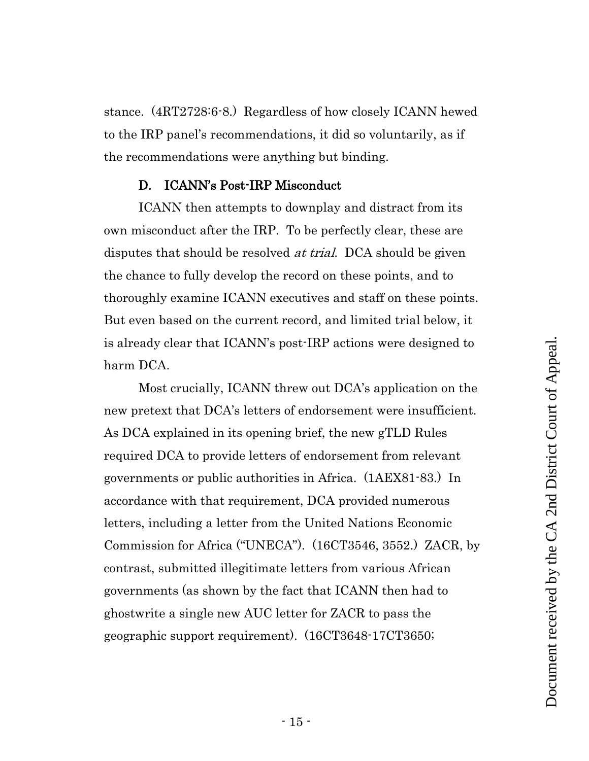stance. (4RT2728:6-8.) Regardless of how closely ICANN hewed to the IRP panel's recommendations, it did so voluntarily, as if the recommendations were anything but binding.

#### D. ICANN's Post-IRP Misconduct

<span id="page-14-0"></span>ICANN then attempts to downplay and distract from its own misconduct after the IRP. To be perfectly clear, these are disputes that should be resolved *at trial*. DCA should be given the chance to fully develop the record on these points, and to thoroughly examine ICANN executives and staff on these points. But even based on the current record, and limited trial below, it is already clear that ICANN's post-IRP actions were designed to harm DCA.

Most crucially, ICANN threw out DCA's application on the new pretext that DCA's letters of endorsement were insufficient. As DCA explained in its opening brief, the new gTLD Rules required DCA to provide letters of endorsement from relevant governments or public authorities in Africa. (1AEX81-83.) In accordance with that requirement, DCA provided numerous letters, including a letter from the United Nations Economic Commission for Africa ("UNECA"). (16CT3546, 3552.) ZACR, by contrast, submitted illegitimate letters from various African governments (as shown by the fact that ICANN then had to ghostwrite a single new AUC letter for ZACR to pass the geographic support requirement). (16CT3648-17CT3650;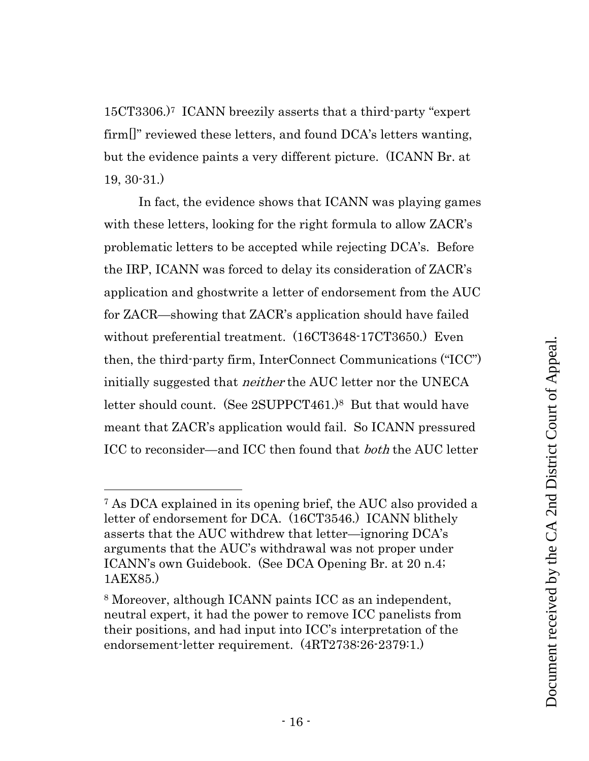15CT3306.)7 ICANN breezily asserts that a third-party "expert firm[]" reviewed these letters, and found DCA's letters wanting, but the evidence paints a very different picture. (ICANN Br. at 19, 30-31.)

In fact, the evidence shows that ICANN was playing games with these letters, looking for the right formula to allow ZACR's problematic letters to be accepted while rejecting DCA's. Before the IRP, ICANN was forced to delay its consideration of ZACR's application and ghostwrite a letter of endorsement from the AUC for ZACR—showing that ZACR's application should have failed without preferential treatment. (16CT3648-17CT3650.) Even then, the third-party firm, InterConnect Communications ("ICC") initially suggested that neither the AUC letter nor the UNECA letter should count. (See 2SUPPCT461.)8 But that would have meant that ZACR's application would fail. So ICANN pressured ICC to reconsider—and ICC then found that both the AUC letter

<sup>7</sup> As DCA explained in its opening brief, the AUC also provided a letter of endorsement for DCA. (16CT3546.) ICANN blithely asserts that the AUC withdrew that letter—ignoring DCA's arguments that the AUC's withdrawal was not proper under ICANN's own Guidebook. (See DCA Opening Br. at 20 n.4; 1AEX85.)

<sup>8</sup> Moreover, although ICANN paints ICC as an independent, neutral expert, it had the power to remove ICC panelists from their positions, and had input into ICC's interpretation of the endorsement-letter requirement. (4RT2738:26-2379:1.)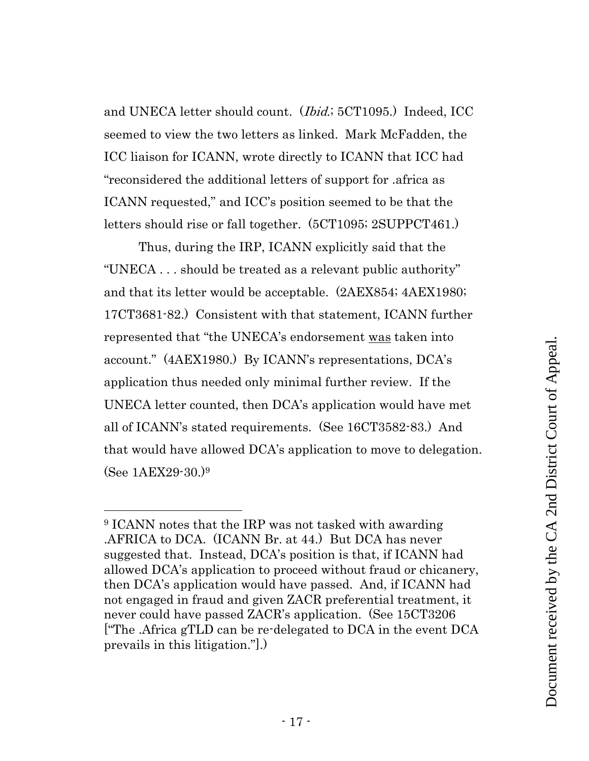and UNECA letter should count. (Ibid.; 5CT1095.) Indeed, ICC seemed to view the two letters as linked. Mark McFadden, the ICC liaison for ICANN, wrote directly to ICANN that ICC had "reconsidered the additional letters of support for .africa as ICANN requested," and ICC's position seemed to be that the letters should rise or fall together. (5CT1095; 2SUPPCT461.)

Thus, during the IRP, ICANN explicitly said that the "UNECA . . . should be treated as a relevant public authority" and that its letter would be acceptable. (2AEX854; 4AEX1980; 17CT3681-82.) Consistent with that statement, ICANN further represented that "the UNECA's endorsement was taken into account." (4AEX1980.) By ICANN's representations, DCA's application thus needed only minimal further review. If the UNECA letter counted, then DCA's application would have met all of ICANN's stated requirements. (See 16CT3582-83.) And that would have allowed DCA's application to move to delegation. (See 1AEX29-30.)<sup>9</sup>

<sup>9</sup> ICANN notes that the IRP was not tasked with awarding .AFRICA to DCA. (ICANN Br. at 44.) But DCA has never suggested that. Instead, DCA's position is that, if ICANN had allowed DCA's application to proceed without fraud or chicanery, then DCA's application would have passed. And, if ICANN had not engaged in fraud and given ZACR preferential treatment, it never could have passed ZACR's application. (See 15CT3206 ["The .Africa gTLD can be re-delegated to DCA in the event DCA prevails in this litigation."].)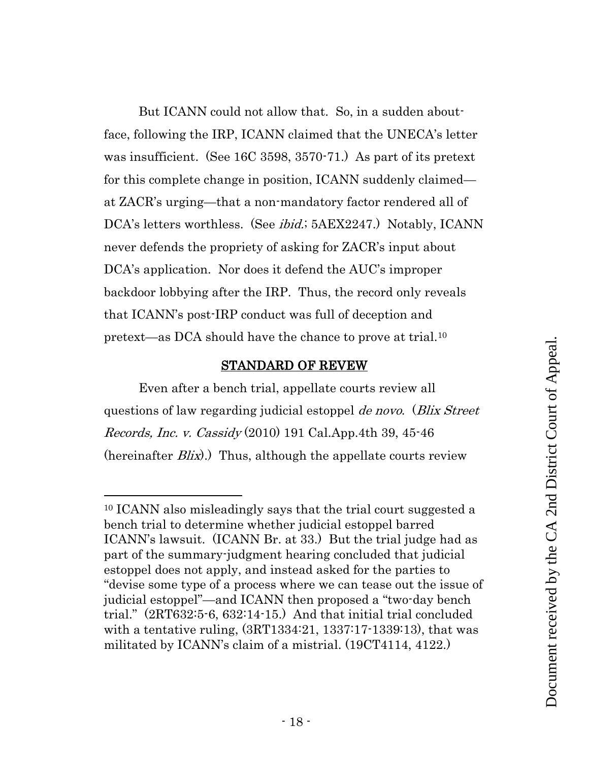But ICANN could not allow that. So, in a sudden aboutface, following the IRP, ICANN claimed that the UNECA's letter was insufficient. (See 16C 3598, 3570-71.) As part of its pretext for this complete change in position, ICANN suddenly claimed at ZACR's urging—that a non-mandatory factor rendered all of DCA's letters worthless. (See *ibid.*; 5AEX2247.) Notably, ICANN never defends the propriety of asking for ZACR's input about DCA's application. Nor does it defend the AUC's improper backdoor lobbying after the IRP. Thus, the record only reveals that ICANN's post-IRP conduct was full of deception and pretext—as DCA should have the chance to prove at trial.<sup>10</sup>

#### <span id="page-17-1"></span>STANDARD OF REVEW

<span id="page-17-0"></span>Even after a bench trial, appellate courts review all questions of law regarding judicial estoppel *de novo.* (*Blix Street*) Records, Inc. v. Cassidy (2010) 191 Cal.App.4th 39, 45-46 (hereinafter  $B$ lix).) Thus, although the appellate courts review

<sup>10</sup> ICANN also misleadingly says that the trial court suggested a bench trial to determine whether judicial estoppel barred ICANN's lawsuit. (ICANN Br. at 33.) But the trial judge had as part of the summary-judgment hearing concluded that judicial estoppel does not apply, and instead asked for the parties to "devise some type of a process where we can tease out the issue of judicial estoppel"—and ICANN then proposed a "two-day bench trial." (2RT632:5-6, 632:14-15.) And that initial trial concluded with a tentative ruling, (3RT1334:21, 1337:17-1339:13), that was militated by ICANN's claim of a mistrial. (19CT4114, 4122.)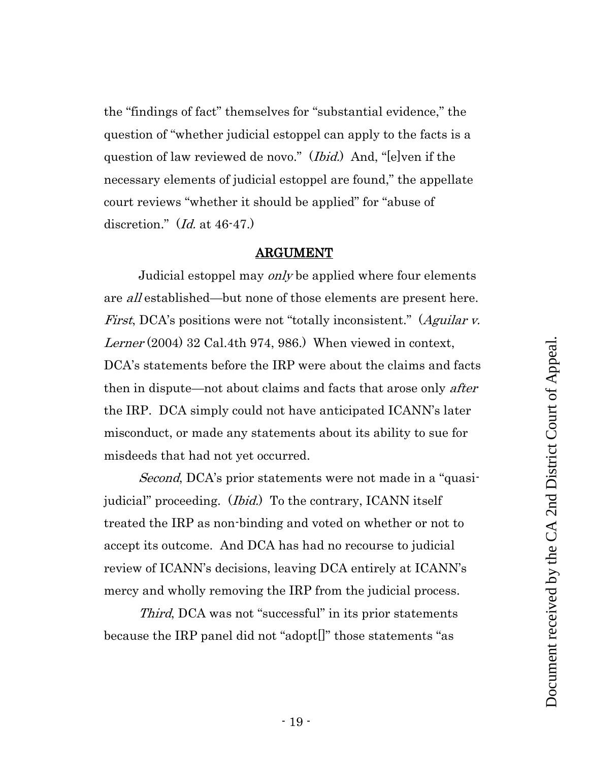the "findings of fact" themselves for "substantial evidence," the question of "whether judicial estoppel can apply to the facts is a question of law reviewed de novo." (*Ibid.*) And, "[e]ven if the necessary elements of judicial estoppel are found," the appellate court reviews "whether it should be applied" for "abuse of discretion." (*Id.* at 46-47.)

#### <span id="page-18-1"></span>ARGUMENT

<span id="page-18-0"></span>Judicial estoppel may only be applied where four elements are all established—but none of those elements are present here. First, DCA's positions were not "totally inconsistent." (Aguilar v. Lerner (2004) 32 Cal.4th 974, 986.) When viewed in context, DCA's statements before the IRP were about the claims and facts then in dispute—not about claims and facts that arose only *after* the IRP. DCA simply could not have anticipated ICANN's later misconduct, or made any statements about its ability to sue for misdeeds that had not yet occurred.

Second, DCA's prior statements were not made in a "quasijudicial" proceeding. (*Ibid.*) To the contrary, ICANN itself treated the IRP as non-binding and voted on whether or not to accept its outcome. And DCA has had no recourse to judicial review of ICANN's decisions, leaving DCA entirely at ICANN's mercy and wholly removing the IRP from the judicial process.

Third, DCA was not "successful" in its prior statements because the IRP panel did not "adopt[]" those statements "as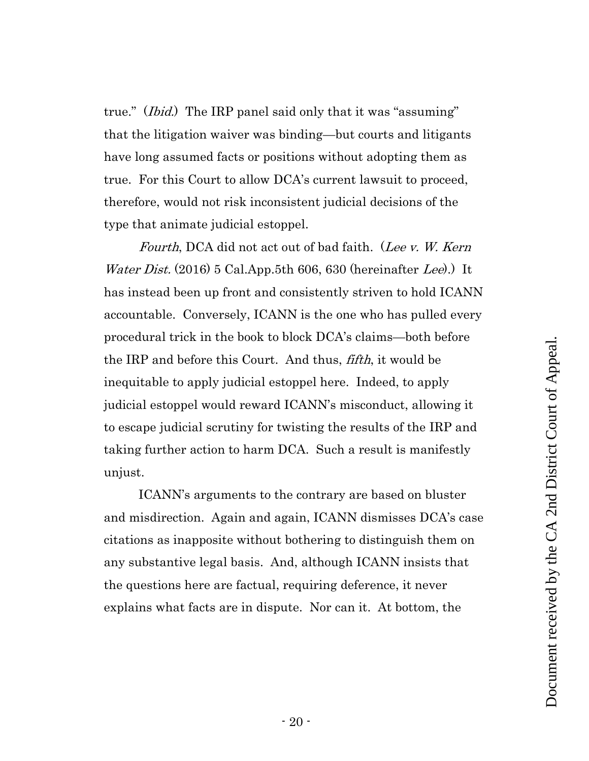<span id="page-19-0"></span>true." (*Ibid.*) The IRP panel said only that it was "assuming" that the litigation waiver was binding—but courts and litigants have long assumed facts or positions without adopting them as true. For this Court to allow DCA's current lawsuit to proceed, therefore, would not risk inconsistent judicial decisions of the type that animate judicial estoppel.

<span id="page-19-1"></span>Fourth, DCA did not act out of bad faith. (Lee v. W. Kern *Water Dist.* (2016) 5 Cal.App.5th 606, 630 (hereinafter Lee).) It has instead been up front and consistently striven to hold ICANN accountable. Conversely, ICANN is the one who has pulled every procedural trick in the book to block DCA's claims—both before the IRP and before this Court. And thus, fifth, it would be inequitable to apply judicial estoppel here. Indeed, to apply judicial estoppel would reward ICANN's misconduct, allowing it to escape judicial scrutiny for twisting the results of the IRP and taking further action to harm DCA. Such a result is manifestly unjust.

ICANN's arguments to the contrary are based on bluster and misdirection. Again and again, ICANN dismisses DCA's case citations as inapposite without bothering to distinguish them on any substantive legal basis. And, although ICANN insists that the questions here are factual, requiring deference, it never explains what facts are in dispute. Nor can it. At bottom, the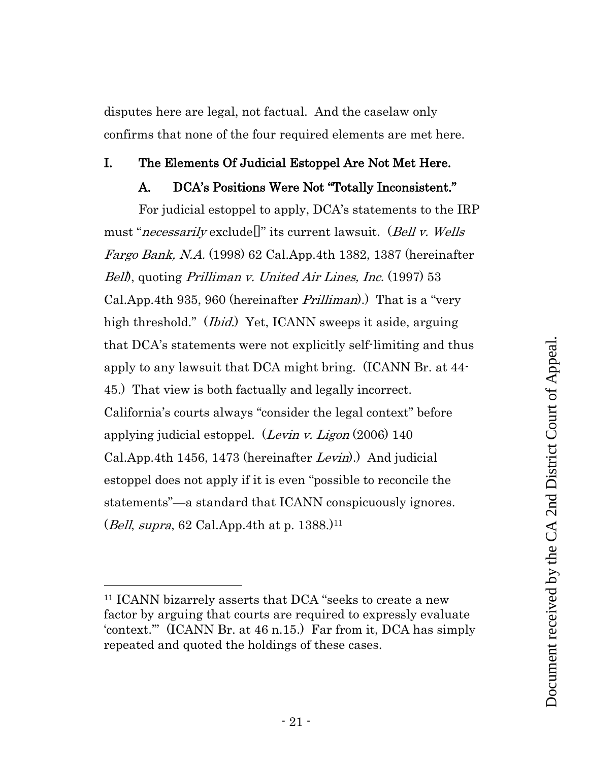disputes here are legal, not factual. And the caselaw only confirms that none of the four required elements are met here.

#### <span id="page-20-1"></span><span id="page-20-0"></span>I. The Elements Of Judicial Estoppel Are Not Met Here.

## <span id="page-20-4"></span><span id="page-20-2"></span>A. DCA's Positions Were Not "Totally Inconsistent."

For judicial estoppel to apply, DCA's statements to the IRP must "necessarily exclude[]" its current lawsuit. (Bell v. Wells Fargo Bank, N.A. (1998) 62 Cal.App.4th 1382, 1387 (hereinafter Bell), quoting Prilliman v. United Air Lines, Inc. (1997) 53 Cal.App.4th 935, 960 (hereinafter *Prilliman*).) That is a "very high threshold." (*Ibid.*) Yet, ICANN sweeps it aside, arguing that DCA's statements were not explicitly self-limiting and thus apply to any lawsuit that DCA might bring. (ICANN Br. at 44- 45.) That view is both factually and legally incorrect. California's courts always "consider the legal context" before applying judicial estoppel. (*Levin v. Ligon*  $(2006)$  140 Cal.App.4th 1456, 1473 (hereinafter Levin).) And judicial estoppel does not apply if it is even "possible to reconcile the statements"—a standard that ICANN conspicuously ignores. (*Bell, supra,* 62 Cal.App.4th at p. 1388.)<sup>11</sup>

<span id="page-20-3"></span><sup>11</sup> ICANN bizarrely asserts that DCA "seeks to create a new factor by arguing that courts are required to expressly evaluate 'context.'" (ICANN Br. at 46 n.15.) Far from it, DCA has simply repeated and quoted the holdings of these cases.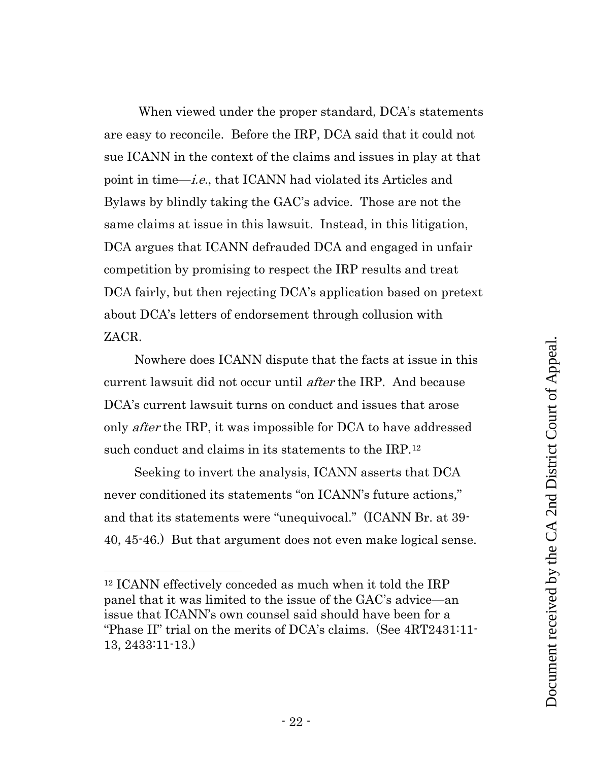When viewed under the proper standard, DCA's statements are easy to reconcile. Before the IRP, DCA said that it could not sue ICANN in the context of the claims and issues in play at that point in time—i.e., that ICANN had violated its Articles and Bylaws by blindly taking the GAC's advice. Those are not the same claims at issue in this lawsuit. Instead, in this litigation, DCA argues that ICANN defrauded DCA and engaged in unfair competition by promising to respect the IRP results and treat DCA fairly, but then rejecting DCA's application based on pretext about DCA's letters of endorsement through collusion with ZACR.

Nowhere does ICANN dispute that the facts at issue in this current lawsuit did not occur until *after* the IRP. And because DCA's current lawsuit turns on conduct and issues that arose only *after* the IRP, it was impossible for DCA to have addressed such conduct and claims in its statements to the IRP.<sup>12</sup>

Seeking to invert the analysis, ICANN asserts that DCA never conditioned its statements "on ICANN's future actions," and that its statements were "unequivocal." (ICANN Br. at 39- 40, 45-46.) But that argument does not even make logical sense.

<sup>12</sup> ICANN effectively conceded as much when it told the IRP panel that it was limited to the issue of the GAC's advice—an issue that ICANN's own counsel said should have been for a "Phase II" trial on the merits of DCA's claims. (See 4RT2431:11- 13, 2433:11-13.)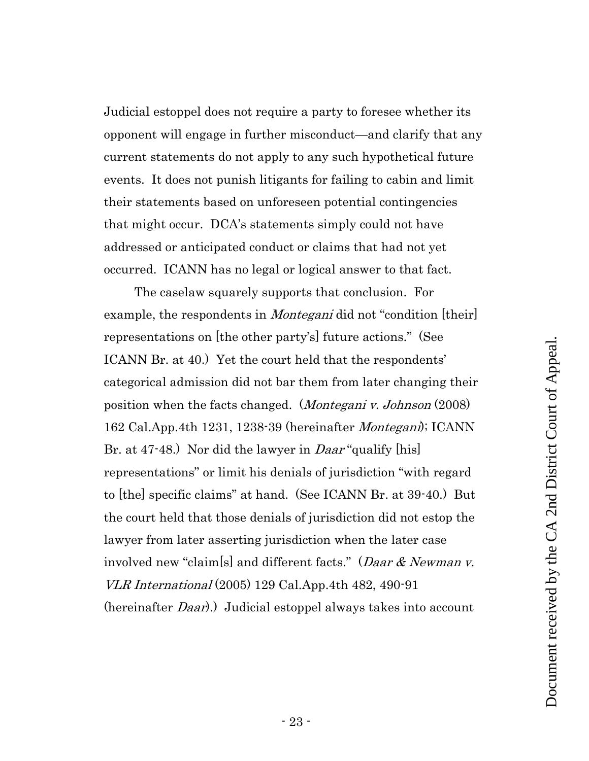Judicial estoppel does not require a party to foresee whether its opponent will engage in further misconduct—and clarify that any current statements do not apply to any such hypothetical future events. It does not punish litigants for failing to cabin and limit their statements based on unforeseen potential contingencies that might occur. DCA's statements simply could not have addressed or anticipated conduct or claims that had not yet occurred. ICANN has no legal or logical answer to that fact.

<span id="page-22-2"></span><span id="page-22-1"></span><span id="page-22-0"></span>The caselaw squarely supports that conclusion. For example, the respondents in *Montegani* did not "condition [their] representations on [the other party's] future actions." (See ICANN Br. at 40.) Yet the court held that the respondents' categorical admission did not bar them from later changing their position when the facts changed. (*Montegani v. Johnson* (2008) 162 Cal.App.4th 1231, 1238-39 (hereinafter Montegani); ICANN Br. at 47-48.) Nor did the lawyer in *Daar* "qualify [his] representations" or limit his denials of jurisdiction "with regard to [the] specific claims" at hand. (See ICANN Br. at 39-40.) But the court held that those denials of jurisdiction did not estop the lawyer from later asserting jurisdiction when the later case involved new "claim[s] and different facts." (Daar & Newman v. VLR International (2005) 129 Cal.App.4th 482, 490-91 (hereinafter *Daar*).) Judicial estoppel always takes into account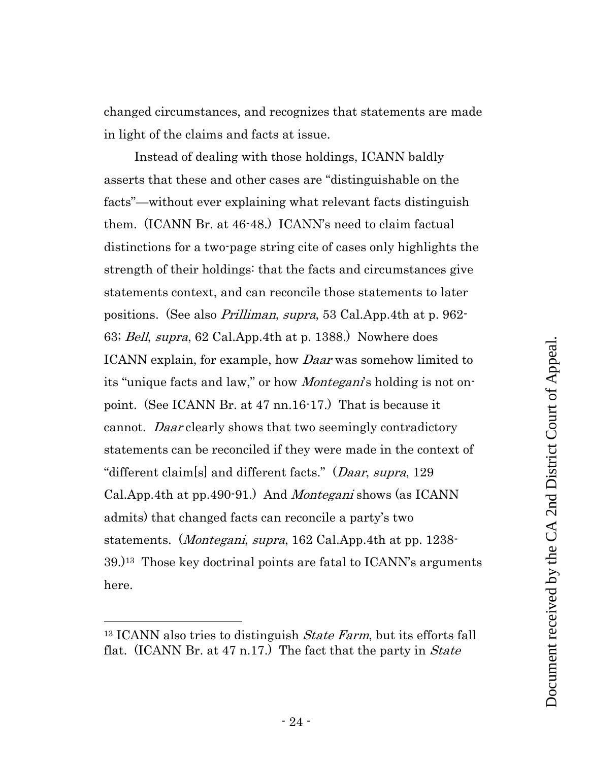changed circumstances, and recognizes that statements are made in light of the claims and facts at issue.

<span id="page-23-2"></span><span id="page-23-0"></span>Instead of dealing with those holdings, ICANN baldly asserts that these and other cases are "distinguishable on the facts"—without ever explaining what relevant facts distinguish them. (ICANN Br. at 46-48.) ICANN's need to claim factual distinctions for a two-page string cite of cases only highlights the strength of their holdings: that the facts and circumstances give statements context, and can reconcile those statements to later positions. (See also Prilliman, supra, 53 Cal.App.4th at p. 962- 63; Bell, supra, 62 Cal.App.4th at p. 1388.) Nowhere does ICANN explain, for example, how *Daar* was somehow limited to its "unique facts and law," or how *Montegani*'s holding is not onpoint. (See ICANN Br. at 47 nn.16-17.) That is because it cannot. Daar clearly shows that two seemingly contradictory statements can be reconciled if they were made in the context of "different claim[s] and different facts." (Daar, supra, 129 Cal.App.4th at pp.490-91.) And *Montegani* shows (as ICANN admits) that changed facts can reconcile a party's two statements. *(Montegani, supra,* 162 Cal.App.4th at pp. 1238- $39.$ <sup>13</sup> Those key doctrinal points are fatal to ICANN's arguments here.

<span id="page-23-3"></span><span id="page-23-1"></span><sup>&</sup>lt;sup>13</sup> ICANN also tries to distinguish *State Farm*, but its efforts fall flat. (ICANN Br. at 47 n.17.) The fact that the party in *State*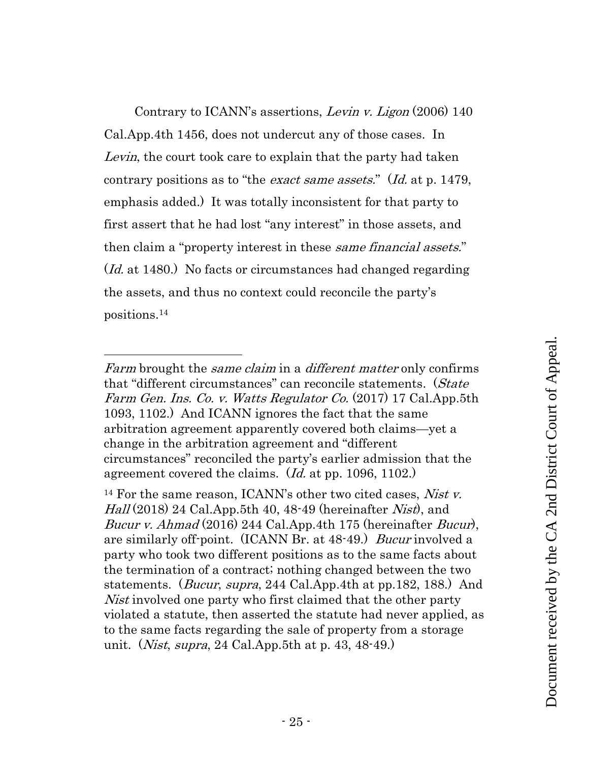<span id="page-24-2"></span>Contrary to ICANN's assertions, Levin v. Ligon (2006) 140 Cal.App.4th 1456, does not undercut any of those cases. In Levin, the court took care to explain that the party had taken contrary positions as to "the *exact same assets.*" (*Id.* at p. 1479, emphasis added.) It was totally inconsistent for that party to first assert that he had lost "any interest" in those assets, and then claim a "property interest in these *same financial assets.*" (*Id.* at 1480.) No facts or circumstances had changed regarding the assets, and thus no context could reconcile the party's positions.<sup>14</sup>

Farm brought the *same claim* in a *different matter* only confirms that "different circumstances" can reconcile statements. (State Farm Gen. Ins. Co. v. Watts Regulator Co. (2017) 17 Cal.App.5th 1093, 1102.) And ICANN ignores the fact that the same arbitration agreement apparently covered both claims—yet a change in the arbitration agreement and "different circumstances" reconciled the party's earlier admission that the agreement covered the claims. (Id. at pp. 1096, 1102.)

<span id="page-24-4"></span><span id="page-24-3"></span><span id="page-24-1"></span><span id="page-24-0"></span><sup>&</sup>lt;sup>14</sup> For the same reason, ICANN's other two cited cases, *Nist v.* Hall  $(2018)$  24 Cal.App.5th 40, 48-49 (hereinafter *Nist*), and Bucur v. Ahmad (2016) 244 Cal.App.4th 175 (hereinafter Bucur), are similarly off-point. (ICANN Br. at 48-49.) Bucur involved a party who took two different positions as to the same facts about the termination of a contract; nothing changed between the two statements. (Bucur, supra, 244 Cal.App.4th at pp.182, 188.) And Nist involved one party who first claimed that the other party violated a statute, then asserted the statute had never applied, as to the same facts regarding the sale of property from a storage unit. (*Nist, supra*, 24 Cal.App.5th at p. 43, 48-49.)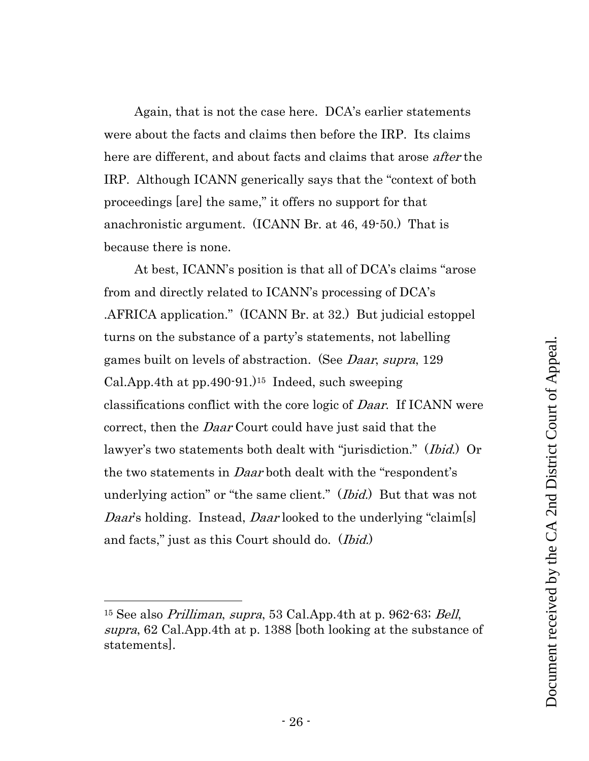Again, that is not the case here. DCA's earlier statements were about the facts and claims then before the IRP. Its claims here are different, and about facts and claims that arose *after* the IRP. Although ICANN generically says that the "context of both proceedings [are] the same," it offers no support for that anachronistic argument. (ICANN Br. at 46, 49-50.) That is because there is none.

<span id="page-25-1"></span>At best, ICANN's position is that all of DCA's claims "arose from and directly related to ICANN's processing of DCA's .AFRICA application." (ICANN Br. at 32.) But judicial estoppel turns on the substance of a party's statements, not labelling games built on levels of abstraction. (See Daar, supra, 129 Cal.App.4th at  $pp.490-91.$ <sup>15</sup> Indeed, such sweeping classifications conflict with the core logic of Daar. If ICANN were correct, then the *Daar* Court could have just said that the lawyer's two statements both dealt with "jurisdiction." (*Ibid.*) Or the two statements in *Daar* both dealt with the "respondent's underlying action" or "the same client." (*Ibid.*) But that was not Daar's holding. Instead, Daar looked to the underlying "claim[s] and facts," just as this Court should do. (*Ibid.*)

<span id="page-25-2"></span><span id="page-25-0"></span><sup>&</sup>lt;sup>15</sup> See also *Prilliman, supra,* 53 Cal.App.4th at p. 962 $-63$ ; *Bell*, supra, 62 Cal.App.4th at p. 1388 [both looking at the substance of statements].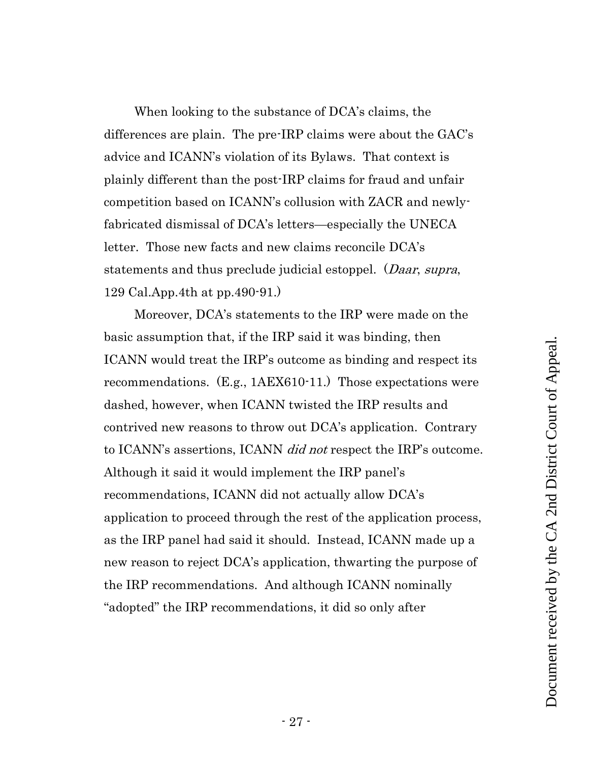When looking to the substance of DCA's claims, the differences are plain. The pre-IRP claims were about the GAC's advice and ICANN's violation of its Bylaws. That context is plainly different than the post-IRP claims for fraud and unfair competition based on ICANN's collusion with ZACR and newlyfabricated dismissal of DCA's letters—especially the UNECA letter. Those new facts and new claims reconcile DCA's statements and thus preclude judicial estoppel. (*Daar, supra*, 129 Cal.App.4th at pp.490-91.)

<span id="page-26-0"></span>Moreover, DCA's statements to the IRP were made on the basic assumption that, if the IRP said it was binding, then ICANN would treat the IRP's outcome as binding and respect its recommendations. (E.g., 1AEX610-11.) Those expectations were dashed, however, when ICANN twisted the IRP results and contrived new reasons to throw out DCA's application. Contrary to ICANN's assertions, ICANN *did not* respect the IRP's outcome. Although it said it would implement the IRP panel's recommendations, ICANN did not actually allow DCA's application to proceed through the rest of the application process, as the IRP panel had said it should. Instead, ICANN made up a new reason to reject DCA's application, thwarting the purpose of the IRP recommendations. And although ICANN nominally "adopted" the IRP recommendations, it did so only after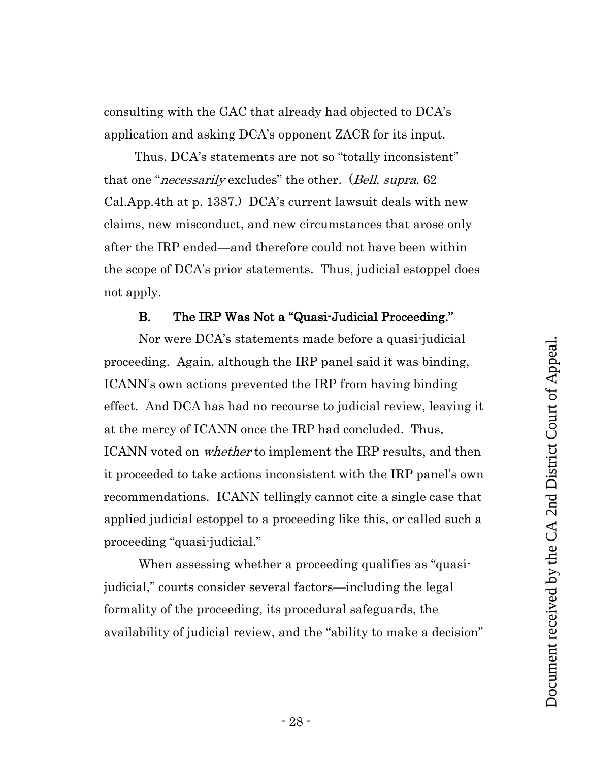consulting with the GAC that already had objected to DCA's application and asking DCA's opponent ZACR for its input.

<span id="page-27-1"></span>Thus, DCA's statements are not so "totally inconsistent" that one "*necessarily* excludes" the other. (*Bell, supra,* 62 Cal.App.4th at p. 1387.) DCA's current lawsuit deals with new claims, new misconduct, and new circumstances that arose only after the IRP ended—and therefore could not have been within the scope of DCA's prior statements. Thus, judicial estoppel does not apply.

# B. The IRP Was Not a "Quasi-Judicial Proceeding."

<span id="page-27-0"></span>Nor were DCA's statements made before a quasi-judicial proceeding. Again, although the IRP panel said it was binding, ICANN's own actions prevented the IRP from having binding effect. And DCA has had no recourse to judicial review, leaving it at the mercy of ICANN once the IRP had concluded. Thus, ICANN voted on *whether* to implement the IRP results, and then it proceeded to take actions inconsistent with the IRP panel's own recommendations. ICANN tellingly cannot cite a single case that applied judicial estoppel to a proceeding like this, or called such a proceeding "quasi-judicial."

When assessing whether a proceeding qualifies as "quasijudicial," courts consider several factors—including the legal formality of the proceeding, its procedural safeguards, the availability of judicial review, and the "ability to make a decision"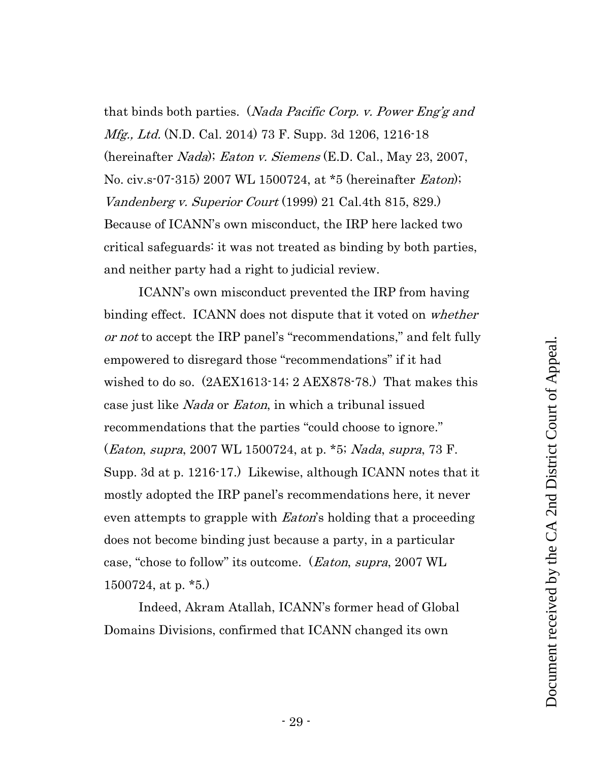<span id="page-28-4"></span><span id="page-28-2"></span><span id="page-28-0"></span>that binds both parties. (Nada Pacific Corp. v. Power Eng'g and *Mfg., Ltd.* (N.D. Cal. 2014) 73 F. Supp. 3d 1206, 1216-18 (hereinafter Nada); Eaton v. Siemens (E.D. Cal., May 23, 2007, No. civ.s-07-315) 2007 WL 1500724, at \*5 (hereinafter *Eaton*); Vandenberg v. Superior Court (1999) 21 Cal.4th 815, 829.) Because of ICANN's own misconduct, the IRP here lacked two critical safeguards: it was not treated as binding by both parties, and neither party had a right to judicial review.

<span id="page-28-3"></span><span id="page-28-1"></span>ICANN's own misconduct prevented the IRP from having binding effect. ICANN does not dispute that it voted on *whether* or not to accept the IRP panel's "recommendations," and felt fully empowered to disregard those "recommendations" if it had wished to do so. (2AEX1613-14; 2 AEX878-78.) That makes this case just like *Nada* or *Eaton*, in which a tribunal issued recommendations that the parties "could choose to ignore." (Eaton, supra, 2007 WL 1500724, at p. \*5; Nada, supra, 73 F. Supp. 3d at p. 1216-17.) Likewise, although ICANN notes that it mostly adopted the IRP panel's recommendations here, it never even attempts to grapple with *Eaton*'s holding that a proceeding does not become binding just because a party, in a particular case, "chose to follow" its outcome. (*Eaton, supra,* 2007 WL 1500724, at p. \*5.)

Indeed, Akram Atallah, ICANN's former head of Global Domains Divisions, confirmed that ICANN changed its own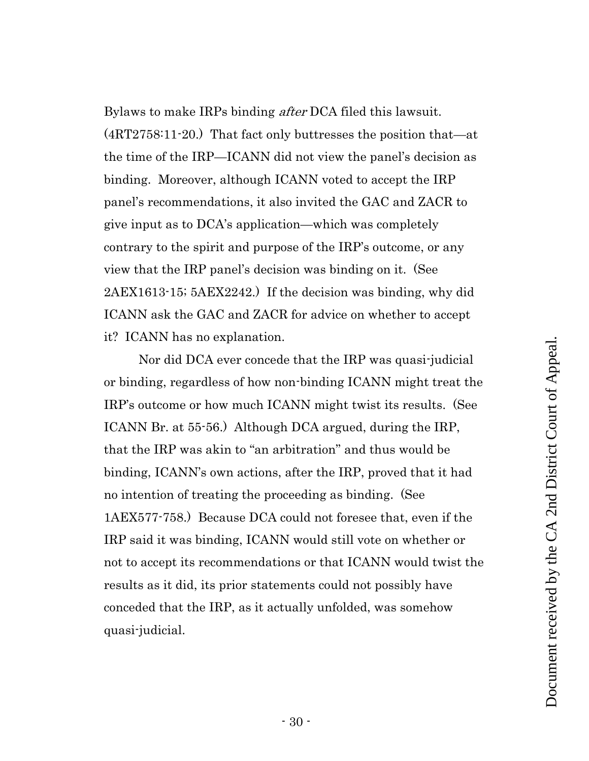Bylaws to make IRPs binding *after* DCA filed this lawsuit. (4RT2758:11-20.) That fact only buttresses the position that—at the time of the IRP—ICANN did not view the panel's decision as binding. Moreover, although ICANN voted to accept the IRP panel's recommendations, it also invited the GAC and ZACR to give input as to DCA's application—which was completely contrary to the spirit and purpose of the IRP's outcome, or any view that the IRP panel's decision was binding on it. (See 2AEX1613-15; 5AEX2242.) If the decision was binding, why did ICANN ask the GAC and ZACR for advice on whether to accept it? ICANN has no explanation.

Nor did DCA ever concede that the IRP was quasi-judicial or binding, regardless of how non-binding ICANN might treat the IRP's outcome or how much ICANN might twist its results. (See ICANN Br. at 55-56.) Although DCA argued, during the IRP, that the IRP was akin to "an arbitration" and thus would be binding, ICANN's own actions, after the IRP, proved that it had no intention of treating the proceeding as binding. (See 1AEX577-758.) Because DCA could not foresee that, even if the IRP said it was binding, ICANN would still vote on whether or not to accept its recommendations or that ICANN would twist the results as it did, its prior statements could not possibly have conceded that the IRP, as it actually unfolded, was somehow quasi-judicial.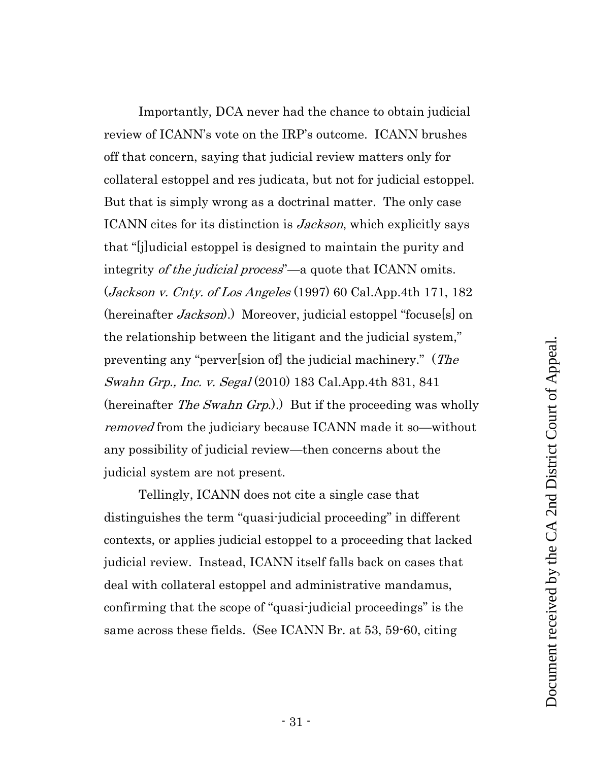<span id="page-30-0"></span>Importantly, DCA never had the chance to obtain judicial review of ICANN's vote on the IRP's outcome. ICANN brushes off that concern, saying that judicial review matters only for collateral estoppel and res judicata, but not for judicial estoppel. But that is simply wrong as a doctrinal matter. The only case ICANN cites for its distinction is *Jackson*, which explicitly says that "[j]udicial estoppel is designed to maintain the purity and integrity of the judicial process<sup>"</sup>—a quote that ICANN omits.  $(Jackson v. Chty. of Los Angeles (1997) 60 Cal. App. 4th 171, 182)$ (hereinafter *Jackson*).) Moreover, judicial estoppel "focuse<sup>[s]</sup> on the relationship between the litigant and the judicial system," preventing any "perver[sion of] the judicial machinery." (The Swahn Grp., Inc. v. Segal (2010) 183 Cal.App.4th 831, 841 (hereinafter *The Swahn Grp.*).) But if the proceeding was wholly removed from the judiciary because ICANN made it so—without any possibility of judicial review—then concerns about the judicial system are not present.

<span id="page-30-1"></span>Tellingly, ICANN does not cite a single case that distinguishes the term "quasi-judicial proceeding" in different contexts, or applies judicial estoppel to a proceeding that lacked judicial review. Instead, ICANN itself falls back on cases that deal with collateral estoppel and administrative mandamus, confirming that the scope of "quasi-judicial proceedings" is the same across these fields. (See ICANN Br. at 53, 59-60, citing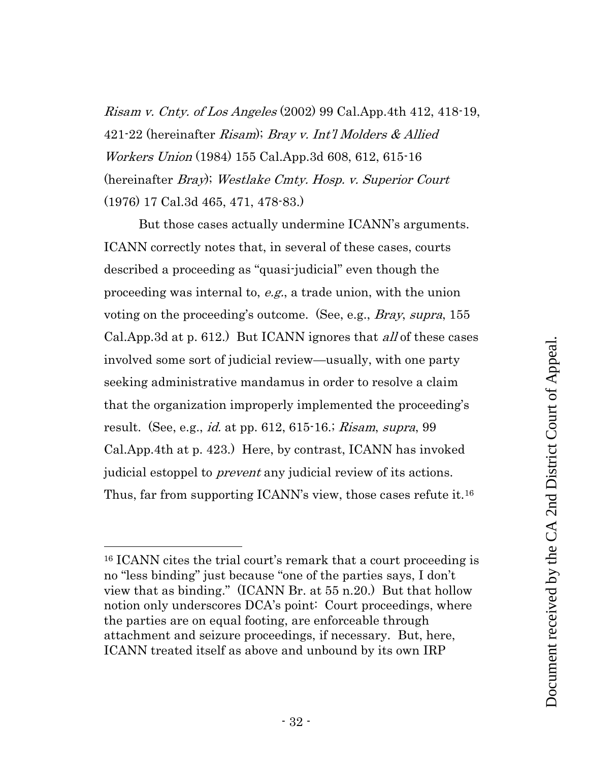<span id="page-31-1"></span><span id="page-31-0"></span>*Risam v. Cnty. of Los Angeles* (2002) 99 Cal.App.4th 412, 418-19, 421-22 (hereinafter Risam); Bray v. Int'l Molders & Allied Workers Union (1984) 155 Cal.App.3d 608, 612, 615-16 (hereinafter Bray); Westlake Cmty. Hosp. v. Superior Court (1976) 17 Cal.3d 465, 471, 478-83.)

<span id="page-31-2"></span>But those cases actually undermine ICANN's arguments. ICANN correctly notes that, in several of these cases, courts described a proceeding as "quasi-judicial" even though the proceeding was internal to, e.g., a trade union, with the union voting on the proceeding's outcome. (See, e.g., *Bray, supra*, 155 Cal.App.3d at p. 612.) But ICANN ignores that *all* of these cases involved some sort of judicial review—usually, with one party seeking administrative mandamus in order to resolve a claim that the organization improperly implemented the proceeding's result. (See, e.g., *id.* at pp. 612, 615-16.; *Risam, supra*, 99 Cal.App.4th at p. 423.) Here, by contrast, ICANN has invoked judicial estoppel to *prevent* any judicial review of its actions. Thus, far from supporting ICANN's view, those cases refute it.<sup>16</sup>

<sup>16</sup> ICANN cites the trial court's remark that a court proceeding is no "less binding" just because "one of the parties says, I don't view that as binding." (ICANN Br. at 55 n.20.) But that hollow notion only underscores DCA's point: Court proceedings, where the parties are on equal footing, are enforceable through attachment and seizure proceedings, if necessary. But, here, ICANN treated itself as above and unbound by its own IRP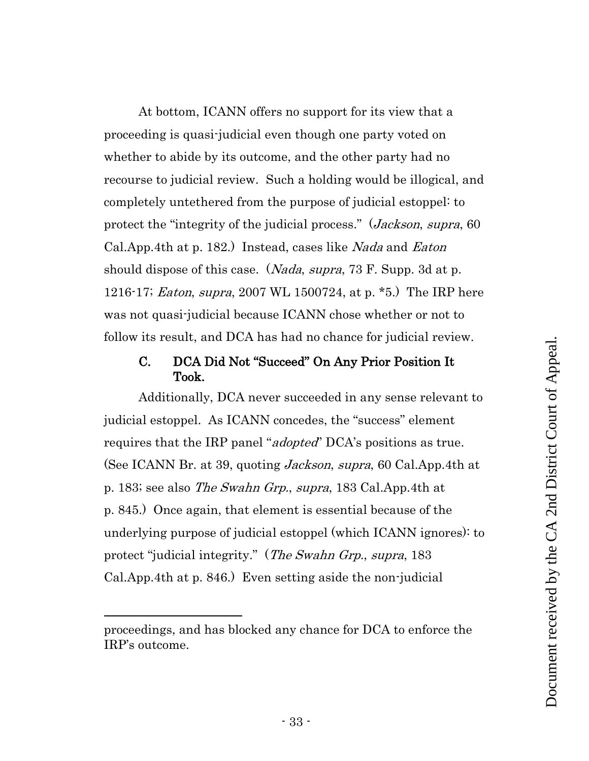At bottom, ICANN offers no support for its view that a proceeding is quasi-judicial even though one party voted on whether to abide by its outcome, and the other party had no recourse to judicial review. Such a holding would be illogical, and completely untethered from the purpose of judicial estoppel: to protect the "integrity of the judicial process." (*Jackson*, *supra*, 60 Cal.App.4th at p. 182.) Instead, cases like Nada and Eaton should dispose of this case. (*Nada, supra,* 73 F. Supp. 3d at p. 1216-17; Eaton, supra, 2007 WL 1500724, at p. \*5.) The IRP here was not quasi-judicial because ICANN chose whether or not to follow its result, and DCA has had no chance for judicial review.

# <span id="page-32-3"></span><span id="page-32-2"></span><span id="page-32-1"></span><span id="page-32-0"></span>C. DCA Did Not "Succeed" On Any Prior Position It Took.

<span id="page-32-4"></span>Additionally, DCA never succeeded in any sense relevant to judicial estoppel. As ICANN concedes, the "success" element requires that the IRP panel "*adopted*" DCA's positions as true. (See ICANN Br. at 39, quoting *Jackson, supra*, 60 Cal.App.4th at p. 183; see also The Swahn Grp., supra, 183 Cal.App.4th at p. 845.) Once again, that element is essential because of the underlying purpose of judicial estoppel (which ICANN ignores): to protect "judicial integrity." (*The Swahn Grp.*, *supra*, 183 Cal.App.4th at p. 846.) Even setting aside the non-judicial

proceedings, and has blocked any chance for DCA to enforce the IRP's outcome.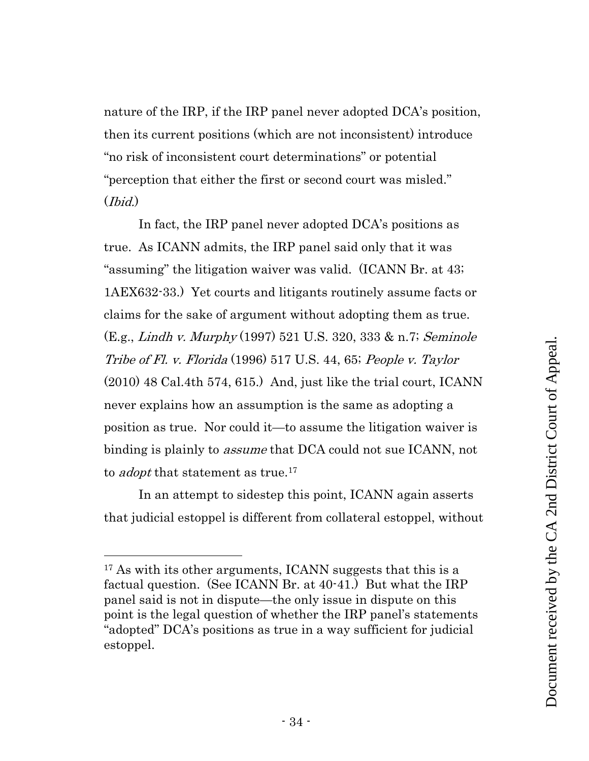nature of the IRP, if the IRP panel never adopted DCA's position, then its current positions (which are not inconsistent) introduce "no risk of inconsistent court determinations" or potential "perception that either the first or second court was misled." (Ibid.)

<span id="page-33-2"></span><span id="page-33-1"></span><span id="page-33-0"></span>In fact, the IRP panel never adopted DCA's positions as true. As ICANN admits, the IRP panel said only that it was "assuming" the litigation waiver was valid. (ICANN Br. at 43; 1AEX632-33.) Yet courts and litigants routinely assume facts or claims for the sake of argument without adopting them as true. (E.g., Lindh v. Murphy (1997) 521 U.S. 320, 333 & n.7; Seminole Tribe of Fl. v. Florida (1996) 517 U.S. 44, 65; People v. Taylor (2010) 48 Cal.4th 574, 615.) And, just like the trial court, ICANN never explains how an assumption is the same as adopting a position as true. Nor could it—to assume the litigation waiver is binding is plainly to *assume* that DCA could not sue ICANN, not to *adopt* that statement as true.<sup>17</sup>

In an attempt to sidestep this point, ICANN again asserts that judicial estoppel is different from collateral estoppel, without

<sup>&</sup>lt;sup>17</sup> As with its other arguments, ICANN suggests that this is a factual question. (See ICANN Br. at 40-41.) But what the IRP panel said is not in dispute—the only issue in dispute on this point is the legal question of whether the IRP panel's statements "adopted" DCA's positions as true in a way sufficient for judicial estoppel.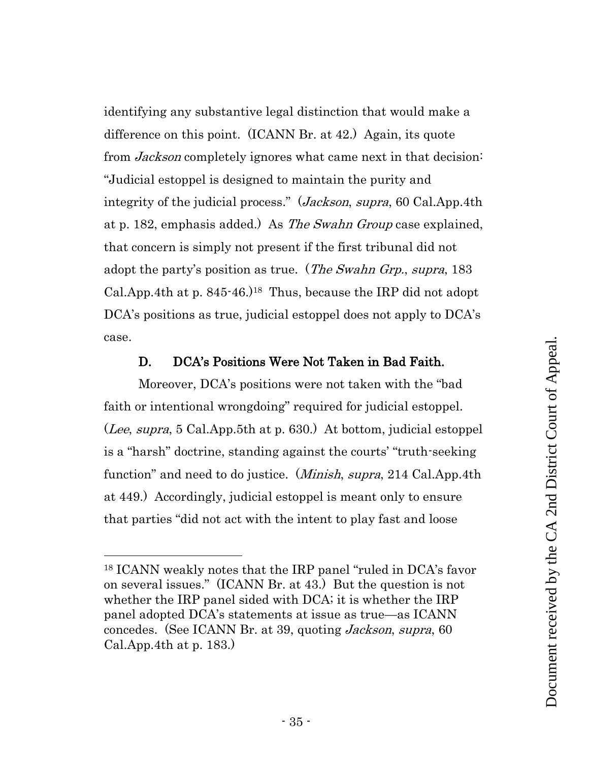<span id="page-34-1"></span>identifying any substantive legal distinction that would make a difference on this point. (ICANN Br. at 42.) Again, its quote from *Jackson* completely ignores what came next in that decision: "Judicial estoppel is designed to maintain the purity and integrity of the judicial process." (*Jackson*, *supra*, 60 Cal.App.4th at p. 182, emphasis added.) As *The Swahn Group* case explained, that concern is simply not present if the first tribunal did not adopt the party's position as true. (*The Swahn Grp., supra*, 183 Cal.App.4th at p. 845-46.)18 Thus, because the IRP did not adopt DCA's positions as true, judicial estoppel does not apply to DCA's case.

#### <span id="page-34-4"></span><span id="page-34-3"></span>D. DCA's Positions Were Not Taken in Bad Faith.

<span id="page-34-2"></span><span id="page-34-0"></span>Moreover, DCA's positions were not taken with the "bad faith or intentional wrongdoing" required for judicial estoppel. (Lee, supra, 5 Cal.App.5th at p. 630.) At bottom, judicial estoppel is a "harsh" doctrine, standing against the courts' "truth-seeking function" and need to do justice. (*Minish, supra*, 214 Cal.App.4th at 449.) Accordingly, judicial estoppel is meant only to ensure that parties "did not act with the intent to play fast and loose

<sup>18</sup> ICANN weakly notes that the IRP panel "ruled in DCA's favor on several issues." (ICANN Br. at 43.) But the question is not whether the IRP panel sided with DCA; it is whether the IRP panel adopted DCA's statements at issue as true—as ICANN concedes. (See ICANN Br. at 39, quoting Jackson, supra, 60 Cal.App.4th at p. 183.)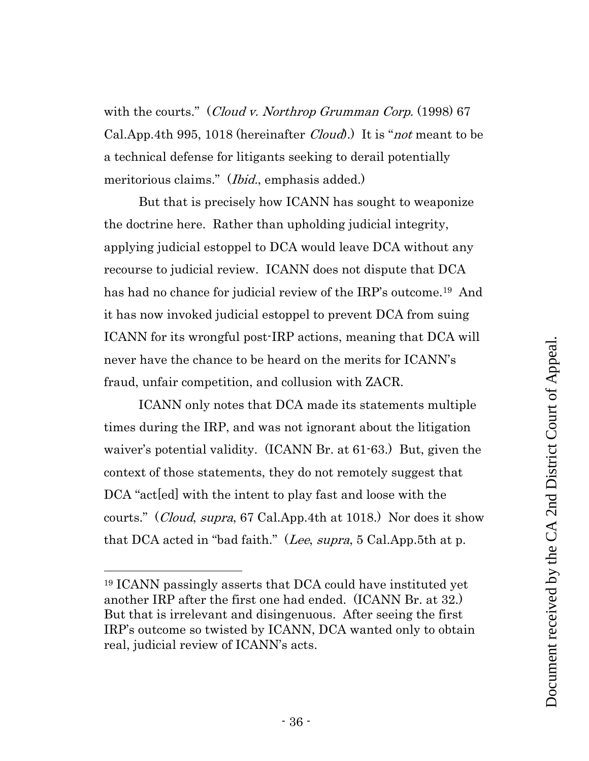<span id="page-35-0"></span>with the courts." (Cloud v. Northrop Grumman Corp. (1998) 67 Cal.App.4th 995, 1018 (hereinafter *Cloud*). It is "*not* meant to be a technical defense for litigants seeking to derail potentially meritorious claims." (*Ibid.*, emphasis added.)

But that is precisely how ICANN has sought to weaponize the doctrine here. Rather than upholding judicial integrity, applying judicial estoppel to DCA would leave DCA without any recourse to judicial review. ICANN does not dispute that DCA has had no chance for judicial review of the IRP's outcome.<sup>19</sup> And it has now invoked judicial estoppel to prevent DCA from suing ICANN for its wrongful post-IRP actions, meaning that DCA will never have the chance to be heard on the merits for ICANN's fraud, unfair competition, and collusion with ZACR.

ICANN only notes that DCA made its statements multiple times during the IRP, and was not ignorant about the litigation waiver's potential validity. (ICANN Br. at 61-63.) But, given the context of those statements, they do not remotely suggest that DCA "act[ed] with the intent to play fast and loose with the courts." (Cloud, supra, 67 Cal.App.4th at 1018.) Nor does it show that DCA acted in "bad faith." (Lee, supra, 5 Cal.App.5th at p.

<span id="page-35-2"></span><span id="page-35-1"></span><sup>19</sup> ICANN passingly asserts that DCA could have instituted yet another IRP after the first one had ended. (ICANN Br. at 32.) But that is irrelevant and disingenuous. After seeing the first IRP's outcome so twisted by ICANN, DCA wanted only to obtain real, judicial review of ICANN's acts.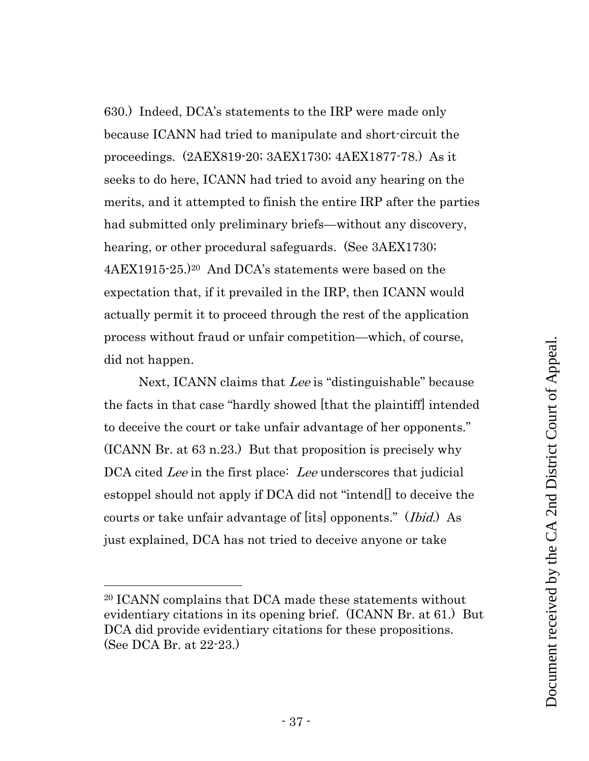630.) Indeed, DCA's statements to the IRP were made only because ICANN had tried to manipulate and short-circuit the proceedings. (2AEX819-20; 3AEX1730; 4AEX1877-78.) As it seeks to do here, ICANN had tried to avoid any hearing on the merits, and it attempted to finish the entire IRP after the parties had submitted only preliminary briefs—without any discovery, hearing, or other procedural safeguards. (See 3AEX1730; 4AEX1915-25.)<sup>20</sup> And DCA's statements were based on the expectation that, if it prevailed in the IRP, then ICANN would actually permit it to proceed through the rest of the application process without fraud or unfair competition—which, of course, did not happen.

<span id="page-36-0"></span>Next, ICANN claims that Lee is "distinguishable" because the facts in that case "hardly showed [that the plaintiff] intended to deceive the court or take unfair advantage of her opponents." (ICANN Br. at 63 n.23.) But that proposition is precisely why DCA cited Lee in the first place: Lee underscores that judicial estoppel should not apply if DCA did not "intend[] to deceive the courts or take unfair advantage of [its] opponents." (*Ibid.*) As just explained, DCA has not tried to deceive anyone or take

<sup>20</sup> ICANN complains that DCA made these statements without evidentiary citations in its opening brief. (ICANN Br. at 61.) But DCA did provide evidentiary citations for these propositions. (See DCA Br. at 22-23.)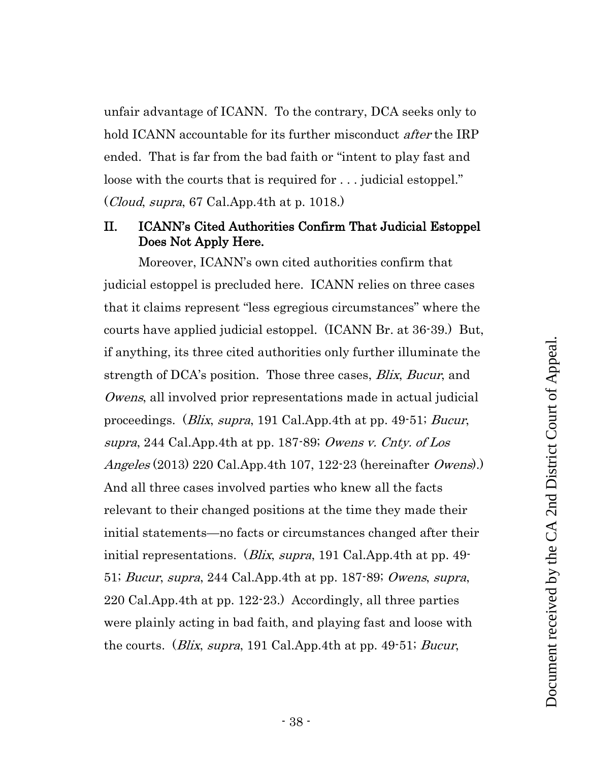unfair advantage of ICANN. To the contrary, DCA seeks only to hold ICANN accountable for its further misconduct *after* the IRP ended. That is far from the bad faith or "intent to play fast and loose with the courts that is required for . . . judicial estoppel." (Cloud, supra, 67 Cal.App.4th at p. 1018.)

## <span id="page-37-5"></span><span id="page-37-0"></span>II. ICANN's Cited Authorities Confirm That Judicial Estoppel Does Not Apply Here.

<span id="page-37-7"></span><span id="page-37-6"></span><span id="page-37-4"></span><span id="page-37-3"></span><span id="page-37-2"></span><span id="page-37-1"></span>Moreover, ICANN's own cited authorities confirm that judicial estoppel is precluded here. ICANN relies on three cases that it claims represent "less egregious circumstances" where the courts have applied judicial estoppel. (ICANN Br. at 36-39.) But, if anything, its three cited authorities only further illuminate the strength of DCA's position. Those three cases, *Blix, Bucur*, and Owens, all involved prior representations made in actual judicial proceedings. (*Blix, supra*, 191 Cal.App.4th at pp. 49-51; *Bucur*, supra, 244 Cal.App.4th at pp. 187-89; Owens v. Cnty. of Los Angeles (2013) 220 Cal.App.4th 107, 122-23 (hereinafter *Owens*). And all three cases involved parties who knew all the facts relevant to their changed positions at the time they made their initial statements—no facts or circumstances changed after their initial representations. (*Blix, supra*, 191 Cal.App.4th at pp. 49-51; Bucur, supra, 244 Cal.App.4th at pp. 187-89; Owens, supra, 220 Cal.App.4th at pp. 122-23.) Accordingly, all three parties were plainly acting in bad faith, and playing fast and loose with the courts. (*Blix, supra*, 191 Cal.App.4th at pp. 49-51; *Bucur*,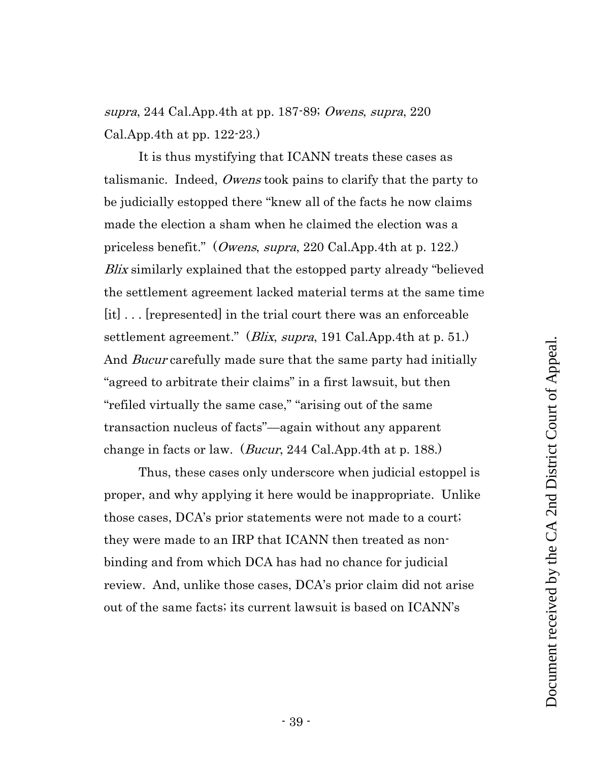supra, 244 Cal.App.4th at pp. 187-89; Owens, supra, 220 Cal.App.4th at pp. 122-23.)

It is thus mystifying that ICANN treats these cases as talismanic. Indeed, Owens took pains to clarify that the party to be judicially estopped there "knew all of the facts he now claims made the election a sham when he claimed the election was a priceless benefit." (*Owens, supra,* 220 Cal.App.4th at p. 122.) Blix similarly explained that the estopped party already "believed the settlement agreement lacked material terms at the same time [it] . . . [represented] in the trial court there was an enforceable settlement agreement." (*Blix, supra*, 191 Cal.App.4th at p. 51.) And *Bucur* carefully made sure that the same party had initially "agreed to arbitrate their claims" in a first lawsuit, but then "refiled virtually the same case," "arising out of the same transaction nucleus of facts"—again without any apparent change in facts or law. (*Bucur*, 244 Cal.App.4th at p. 188.)

Thus, these cases only underscore when judicial estoppel is proper, and why applying it here would be inappropriate. Unlike those cases, DCA's prior statements were not made to a court; they were made to an IRP that ICANN then treated as nonbinding and from which DCA has had no chance for judicial review. And, unlike those cases, DCA's prior claim did not arise out of the same facts; its current lawsuit is based on ICANN's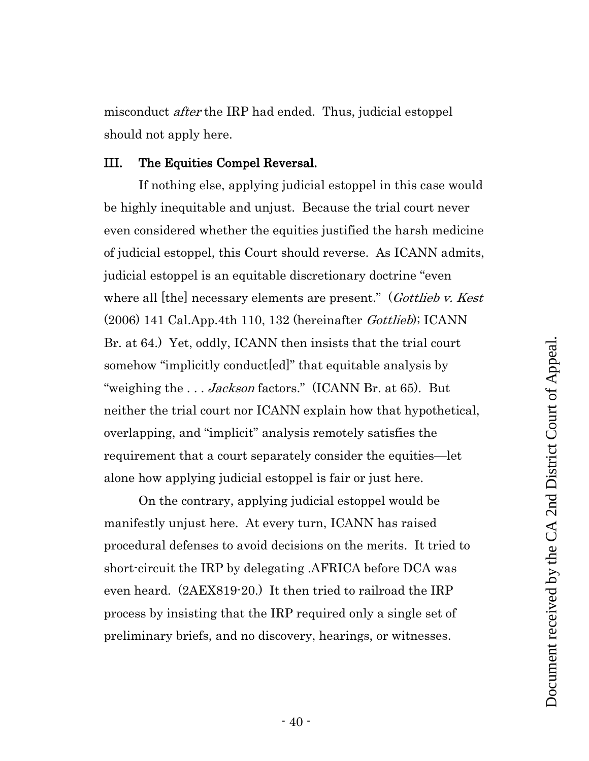<span id="page-39-0"></span>III. The Equities Compel Reversal. If nothing else, applying judicial estoppel in this case would be highly inequitable and unjust. Because the trial court never

<span id="page-39-1"></span>even considered whether the equities justified the harsh medicine of judicial estoppel, this Court should reverse. As ICANN admits, judicial estoppel is an equitable discretionary doctrine "even where all [the] necessary elements are present." (Gottlieb v. Kest  $(2006)$  141 Cal.App.4th 110, 132 (hereinafter *Gottlieb*); ICANN Br. at 64.) Yet, oddly, ICANN then insists that the trial court somehow "implicitly conduct[ed]" that equitable analysis by "weighing the ... Jackson factors." (ICANN Br. at 65). But neither the trial court nor ICANN explain how that hypothetical, overlapping, and "implicit" analysis remotely satisfies the requirement that a court separately consider the equities—let alone how applying judicial estoppel is fair or just here.

misconduct *after* the IRP had ended. Thus, judicial estoppel

should not apply here.

<span id="page-39-2"></span>On the contrary, applying judicial estoppel would be manifestly unjust here. At every turn, ICANN has raised procedural defenses to avoid decisions on the merits. It tried to short-circuit the IRP by delegating .AFRICA before DCA was even heard. (2AEX819-20.) It then tried to railroad the IRP process by insisting that the IRP required only a single set of preliminary briefs, and no discovery, hearings, or witnesses.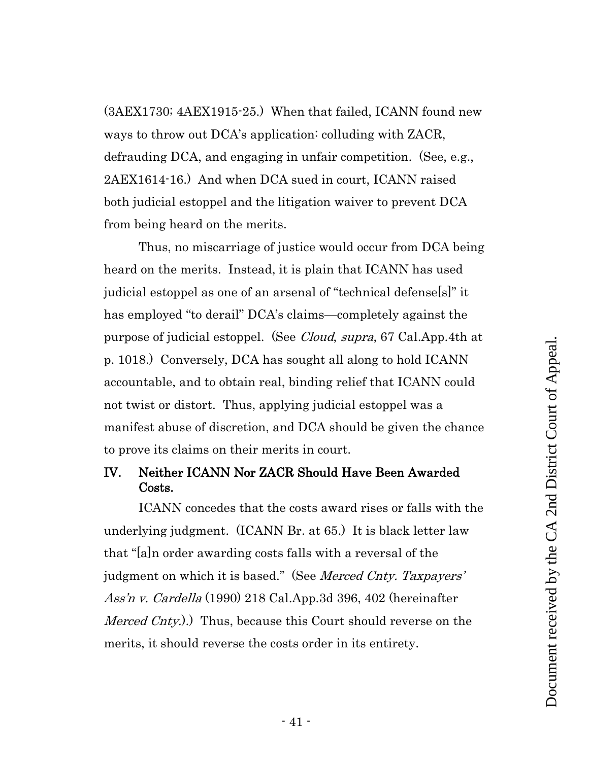(3AEX1730; 4AEX1915-25.) When that failed, ICANN found new ways to throw out DCA's application: colluding with ZACR, defrauding DCA, and engaging in unfair competition. (See, e.g., 2AEX1614-16.) And when DCA sued in court, ICANN raised both judicial estoppel and the litigation waiver to prevent DCA from being heard on the merits.

<span id="page-40-1"></span>Thus, no miscarriage of justice would occur from DCA being heard on the merits. Instead, it is plain that ICANN has used judicial estoppel as one of an arsenal of "technical defense[s]" it has employed "to derail" DCA's claims—completely against the purpose of judicial estoppel. (See *Cloud, supra*, 67 Cal.App.4th at p. 1018.) Conversely, DCA has sought all along to hold ICANN accountable, and to obtain real, binding relief that ICANN could not twist or distort. Thus, applying judicial estoppel was a manifest abuse of discretion, and DCA should be given the chance to prove its claims on their merits in court.

# <span id="page-40-0"></span>IV. Neither ICANN Nor ZACR Should Have Been Awarded Costs.

<span id="page-40-2"></span>ICANN concedes that the costs award rises or falls with the underlying judgment. (ICANN Br. at 65.) It is black letter law that "[a]n order awarding costs falls with a reversal of the judgment on which it is based." (See *Merced Cnty. Taxpayers'* Ass'n v. Cardella (1990) 218 Cal.App.3d 396, 402 (hereinafter *Merced Cnty.*).) Thus, because this Court should reverse on the merits, it should reverse the costs order in its entirety.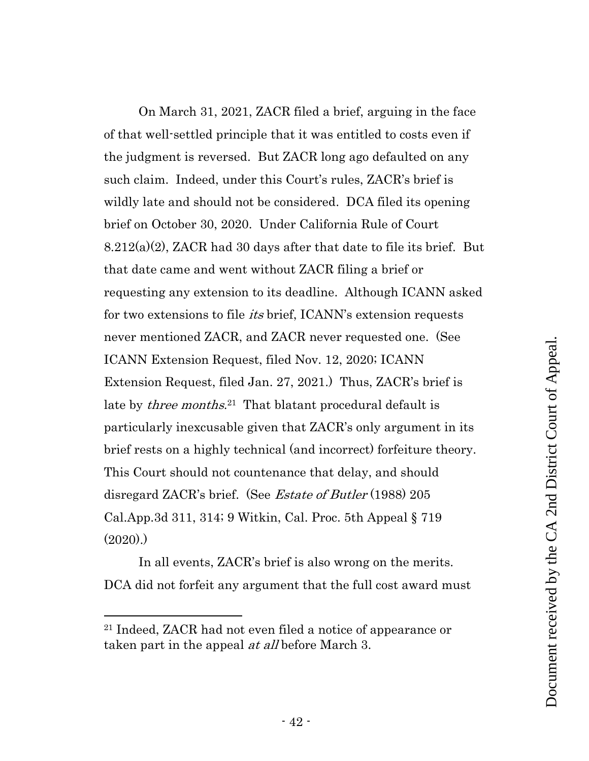<span id="page-41-1"></span>On March 31, 2021, ZACR filed a brief, arguing in the face of that well-settled principle that it was entitled to costs even if the judgment is reversed. But ZACR long ago defaulted on any such claim. Indeed, under this Court's rules, ZACR's brief is wildly late and should not be considered. DCA filed its opening brief on October 30, 2020. Under California Rule of Court 8.212(a)(2), ZACR had 30 days after that date to file its brief. But that date came and went without ZACR filing a brief or requesting any extension to its deadline. Although ICANN asked for two extensions to file *its* brief, ICANN's extension requests never mentioned ZACR, and ZACR never requested one. (See ICANN Extension Request, filed Nov. 12, 2020; ICANN Extension Request, filed Jan. 27, 2021.) Thus, ZACR's brief is late by *three months.*<sup>21</sup> That blatant procedural default is particularly inexcusable given that ZACR's only argument in its brief rests on a highly technical (and incorrect) forfeiture theory. This Court should not countenance that delay, and should disregard ZACR's brief. (See *Estate of Butler* (1988) 205 Cal.App.3d 311, 314; 9 Witkin, Cal. Proc. 5th Appeal § 719  $(2020)$ .

<span id="page-41-0"></span>In all events, ZACR's brief is also wrong on the merits. DCA did not forfeit any argument that the full cost award must

<sup>21</sup> Indeed, ZACR had not even filed a notice of appearance or taken part in the appeal *at all* before March 3.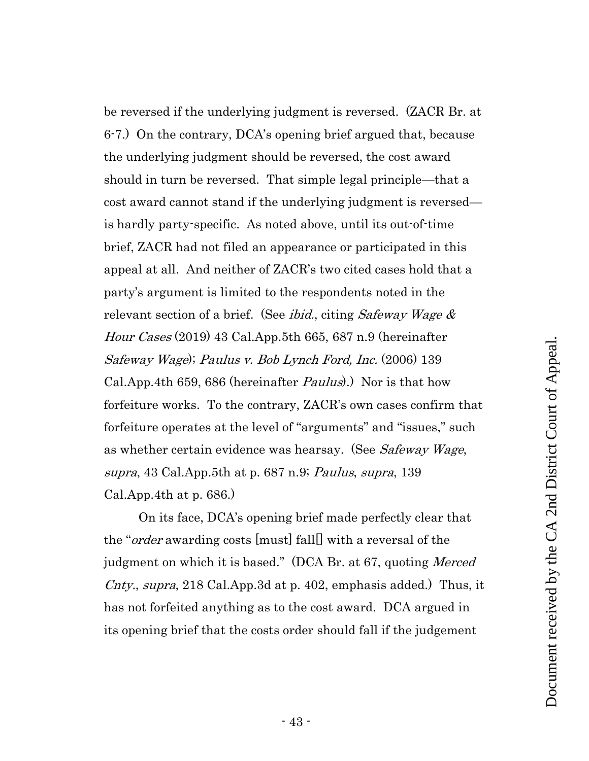be reversed if the underlying judgment is reversed. (ZACR Br. at 6-7.) On the contrary, DCA's opening brief argued that, because the underlying judgment should be reversed, the cost award should in turn be reversed. That simple legal principle—that a cost award cannot stand if the underlying judgment is reversed is hardly party-specific. As noted above, until its out-of-time brief, ZACR had not filed an appearance or participated in this appeal at all. And neither of ZACR's two cited cases hold that a party's argument is limited to the respondents noted in the relevant section of a brief. (See *ibid.*, citing *Safeway Wage*  $\&$ Hour Cases (2019) 43 Cal.App.5th 665, 687 n.9 (hereinafter Safeway Wage); Paulus v. Bob Lynch Ford, Inc. (2006) 139 Cal.App.4th 659, 686 (hereinafter Paulus).) Nor is that how forfeiture works. To the contrary, ZACR's own cases confirm that forfeiture operates at the level of "arguments" and "issues," such as whether certain evidence was hearsay. (See Safeway Wage, supra, 43 Cal.App.5th at p. 687 n.9; Paulus, supra, 139 Cal.App.4th at p. 686.)

<span id="page-42-1"></span><span id="page-42-0"></span>On its face, DCA's opening brief made perfectly clear that the "order awarding costs [must] fall[] with a reversal of the judgment on which it is based." (DCA Br. at 67, quoting *Merced* Cnty., supra, 218 Cal.App.3d at p. 402, emphasis added.) Thus, it has not forfeited anything as to the cost award. DCA argued in its opening brief that the costs order should fall if the judgement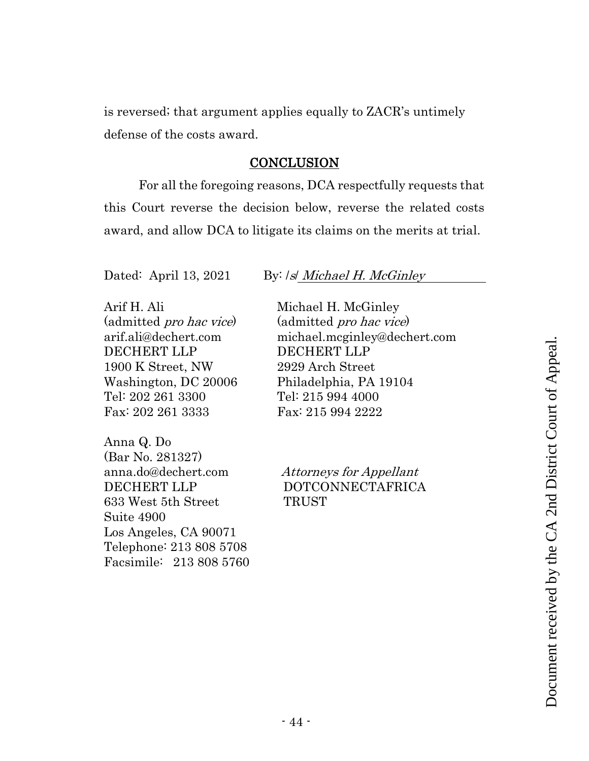is reversed; that argument applies equally to ZACR's untimely defense of the costs award.

#### **CONCLUSION**

<span id="page-43-0"></span>For all the foregoing reasons, DCA respectfully requests that this Court reverse the decision below, reverse the related costs award, and allow DCA to litigate its claims on the merits at trial.

Arif H. Ali (admitted pro hac vice) arif.ali@dechert.com DECHERT LLP 1900 K Street, NW Washington, DC 20006 Tel: 202 261 3300 Fax: 202 261 3333

Anna Q. Do (Bar No. 281327) anna.do@dechert.com DECHERT LLP 633 West 5th Street Suite 4900 Los Angeles, CA 90071 Telephone: 213 808 5708 Facsimile: 213 808 5760

#### Dated: April 13, 2021 By: /s/ Michael H. McGinley

Michael H. McGinley (admitted pro hac vice) michael.mcginley@dechert.com DECHERT LLP 2929 Arch Street Philadelphia, PA 19104 Tel: 215 994 4000 Fax: 215 994 2222 mate...negnine<br>
CHERT LLP<br>
29 Arch Street<br>
iladelphia, PA 19104<br>
: 215 994 4000<br>
x: 215 994 2222<br>
ttorneys for Appellant<br>
OTCONNECTAFRICA<br>
RUST<br>
RUST<br>
TO DESCRIPTION

Attorneys for Appellant DOTCONNECTAFRICA **TRUST**